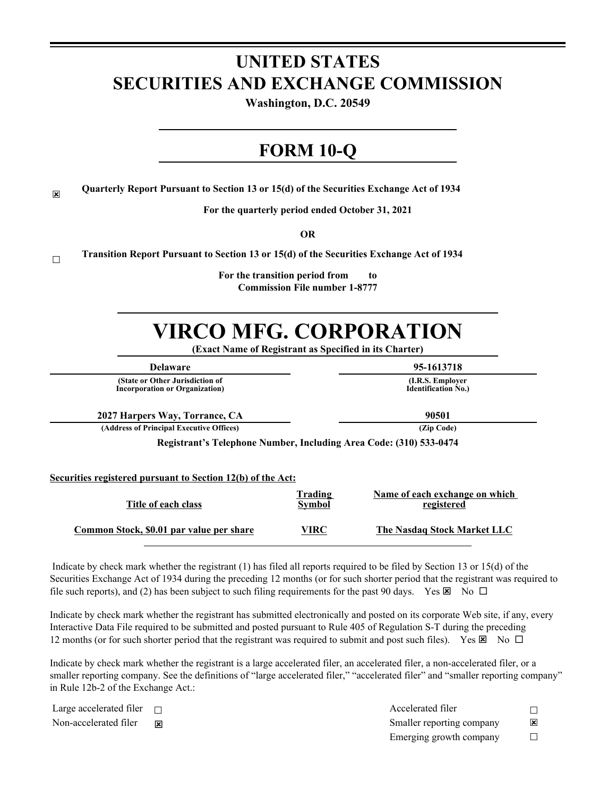# **UNITED STATES SECURITIES AND EXCHANGE COMMISSION**

**Washington, D.C. 20549**

## **FORM 10-Q**

 $\overline{\mathbf{x}}$ **Quarterly Report Pursuant to Section 13 or 15(d) of the Securities Exchange Act of 1934**

**For the quarterly period ended October 31, 2021**

**OR**

☐ **Transition Report Pursuant to Section 13 or 15(d) of the Securities Exchange Act of 1934**

> **For the transition period from to Commission File number 1-8777**

# **VIRCO MFG. CORPORATION**

**(Exact Name of Registrant as Specified in its Charter)**

**(State or Other Jurisdiction of Incorporation or Organization)**

**Delaware 95-1613718**

**(I.R.S. Employer Identification No.)**

**2027 Harpers Way, Torrance, CA 90501**

**(Address of Principal Executive Offices) (Zip Code)**

**Registrant's Telephone Number, Including Area Code: (310) 533-0474**

**Securities registered pursuant to Section 12(b) of the Act:**

| Title of each class                             | <u>Trading</u><br><b>Symbol</b> | Name of each exchange on which<br>registered |
|-------------------------------------------------|---------------------------------|----------------------------------------------|
| <u>Common Stock, \$0.01 par value per share</u> | VIRC                            | The Nasdag Stock Market LLC                  |

 Indicate by check mark whether the registrant (1) has filed all reports required to be filed by Section 13 or 15(d) of the Securities Exchange Act of 1934 during the preceding 12 months (or for such shorter period that the registrant was required to file such reports), and (2) has been subject to such filing requirements for the past 90 days. Yes  $\boxtimes$  No  $\Box$ 

Indicate by check mark whether the registrant has submitted electronically and posted on its corporate Web site, if any, every Interactive Data File required to be submitted and posted pursuant to Rule 405 of Regulation S-T during the preceding 12 months (or for such shorter period that the registrant was required to submit and post such files). Yes  $\boxtimes$  No  $\Box$ 

Indicate by check mark whether the registrant is a large accelerated filer, an accelerated filer, a non-accelerated filer, or a smaller reporting company. See the definitions of "large accelerated filer," "accelerated filer" and "smaller reporting company" in Rule 12b-2 of the Exchange Act.:

| Large accelerated filer $\Box$ | Accelerated filer         |                         |
|--------------------------------|---------------------------|-------------------------|
| Non-accelerated filer          | Smaller reporting company | $\overline{\mathbf{x}}$ |
|                                | Emerging growth company   |                         |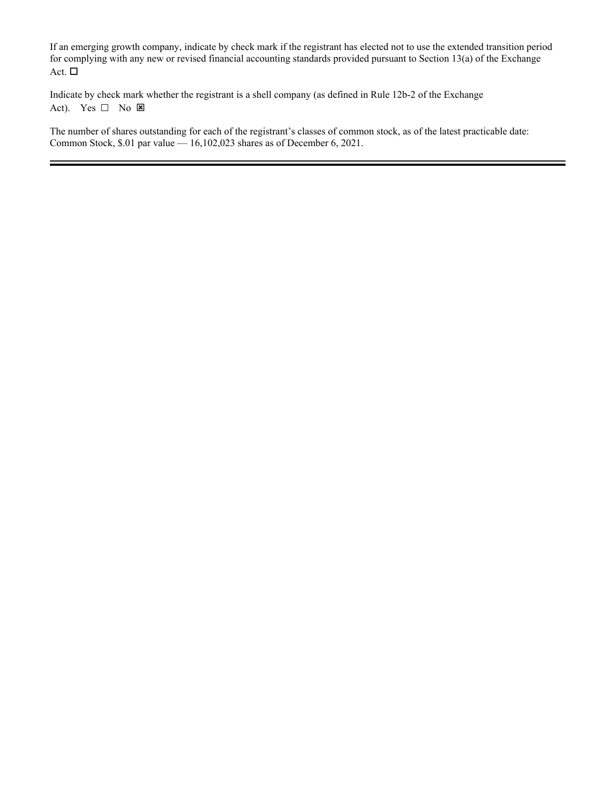If an emerging growth company, indicate by check mark if the registrant has elected not to use the extended transition period for complying with any new or revised financial accounting standards provided pursuant to Section 13(a) of the Exchange Act.  $\Box$ 

Indicate by check mark whether the registrant is a shell company (as defined in Rule 12b-2 of the Exchange Act). Yes  $\Box$  No  $\boxtimes$ 

The number of shares outstanding for each of the registrant's classes of common stock, as of the latest practicable date: Common Stock, \$.01 par value — 16,102,023 shares as of December 6, 2021.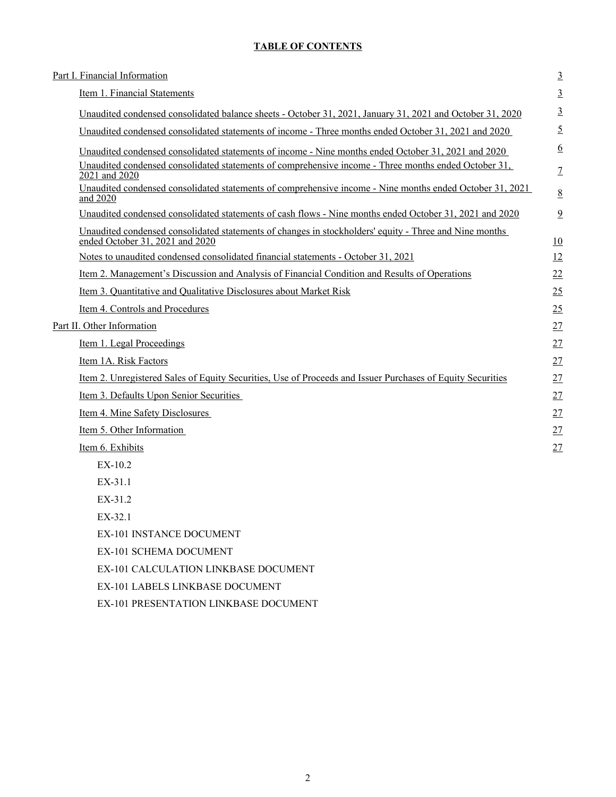## **TABLE OF CONTENTS**

| Part I. Financial Information                                                                                                             | $\overline{3}$  |
|-------------------------------------------------------------------------------------------------------------------------------------------|-----------------|
| Item 1. Financial Statements                                                                                                              | $\overline{3}$  |
| Unaudited condensed consolidated balance sheets - October 31, 2021, January 31, 2021 and October 31, 2020                                 | $\overline{3}$  |
| Unaudited condensed consolidated statements of income - Three months ended October 31, 2021 and 2020                                      | $\overline{5}$  |
| Unaudited condensed consolidated statements of income - Nine months ended October 31, 2021 and 2020                                       | $\underline{6}$ |
| Unaudited condensed consolidated statements of comprehensive income - Three months ended October 31,<br>2021 and 2020                     | $\overline{1}$  |
| Unaudited condensed consolidated statements of comprehensive income - Nine months ended October 31, 2021<br>and 2020                      | $\underline{8}$ |
| Unaudited condensed consolidated statements of cash flows - Nine months ended October 31, 2021 and 2020                                   | 9               |
| Unaudited condensed consolidated statements of changes in stockholders' equity - Three and Nine months<br>ended October 31, 2021 and 2020 | 10              |
| Notes to unaudited condensed consolidated financial statements - October 31, 2021                                                         | 12              |
| Item 2. Management's Discussion and Analysis of Financial Condition and Results of Operations                                             | 22              |
| Item 3. Quantitative and Qualitative Disclosures about Market Risk                                                                        | 25              |
| Item 4. Controls and Procedures                                                                                                           | 25              |
| Part II. Other Information                                                                                                                | 27              |
| Item 1. Legal Proceedings                                                                                                                 | 27              |
| Item 1A. Risk Factors                                                                                                                     | 27              |
| Item 2. Unregistered Sales of Equity Securities, Use of Proceeds and Issuer Purchases of Equity Securities                                | 27              |
| Item 3. Defaults Upon Senior Securities                                                                                                   | 27              |
| Item 4. Mine Safety Disclosures                                                                                                           | 27              |
| Item 5. Other Information                                                                                                                 | 27              |
| Item 6. Exhibits                                                                                                                          | 27              |
| EX-10.2                                                                                                                                   |                 |
| $EX-31.1$                                                                                                                                 |                 |
| EX-31.2                                                                                                                                   |                 |
| $EX-321$                                                                                                                                  |                 |
| EX-101 INSTANCE DOCUMENT                                                                                                                  |                 |
| EX-101 SCHEMA DOCUMENT                                                                                                                    |                 |

EX-101 CALCULATION LINKBASE DOCUMENT

EX-101 LABELS LINKBASE DOCUMENT

EX-101 PRESENTATION LINKBASE DOCUMENT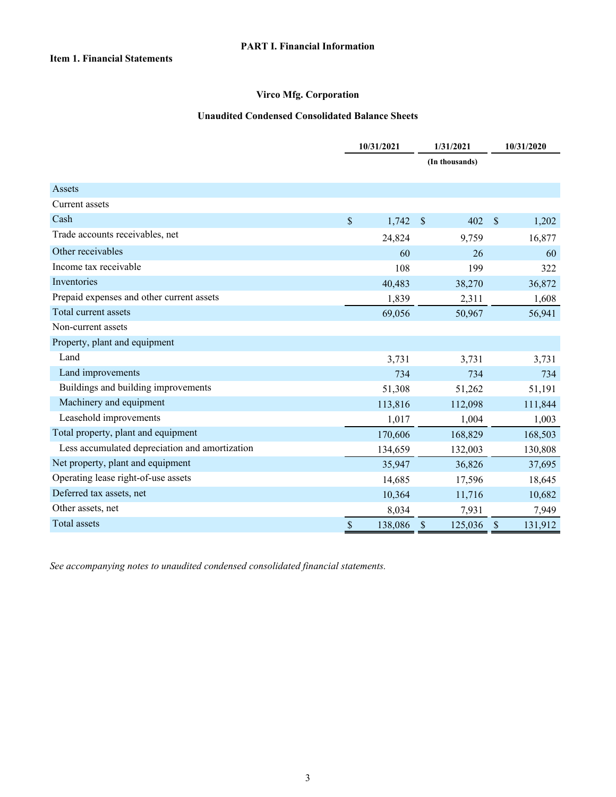#### **Unaudited Condensed Consolidated Balance Sheets**

<span id="page-3-0"></span>

|                                                | 10/31/2021 |         |               | 1/31/2021      |               | 10/31/2020 |  |  |
|------------------------------------------------|------------|---------|---------------|----------------|---------------|------------|--|--|
|                                                |            |         |               | (In thousands) |               |            |  |  |
|                                                |            |         |               |                |               |            |  |  |
| Assets                                         |            |         |               |                |               |            |  |  |
| Current assets                                 |            |         |               |                |               |            |  |  |
| Cash                                           | \$         | 1,742   | $\mathcal{S}$ | 402            | $\mathcal{S}$ | 1,202      |  |  |
| Trade accounts receivables, net                |            | 24,824  |               | 9,759          |               | 16,877     |  |  |
| Other receivables                              |            | 60      |               | 26             |               | 60         |  |  |
| Income tax receivable                          |            | 108     |               | 199            |               | 322        |  |  |
| Inventories                                    |            | 40,483  |               | 38,270         |               | 36,872     |  |  |
| Prepaid expenses and other current assets      |            | 1,839   |               | 2,311          |               | 1,608      |  |  |
| Total current assets                           |            | 69,056  |               | 50,967         |               | 56,941     |  |  |
| Non-current assets                             |            |         |               |                |               |            |  |  |
| Property, plant and equipment                  |            |         |               |                |               |            |  |  |
| Land                                           |            | 3,731   |               | 3,731          |               | 3,731      |  |  |
| Land improvements                              |            | 734     |               | 734            |               | 734        |  |  |
| Buildings and building improvements            |            | 51,308  |               | 51,262         |               | 51,191     |  |  |
| Machinery and equipment                        |            | 113,816 |               | 112,098        |               | 111,844    |  |  |
| Leasehold improvements                         |            | 1,017   |               | 1,004          |               | 1,003      |  |  |
| Total property, plant and equipment            |            | 170,606 |               | 168,829        |               | 168,503    |  |  |
| Less accumulated depreciation and amortization |            | 134,659 |               | 132,003        |               | 130,808    |  |  |
| Net property, plant and equipment              |            | 35,947  |               | 36,826         |               | 37,695     |  |  |
| Operating lease right-of-use assets            |            | 14,685  |               | 17,596         |               | 18,645     |  |  |
| Deferred tax assets, net                       |            | 10,364  |               | 11,716         |               | 10,682     |  |  |
| Other assets, net                              |            | 8,034   |               | 7,931          |               | 7,949      |  |  |
| <b>Total assets</b>                            | \$         | 138,086 | $\mathcal{S}$ | 125,036        | $\mathcal{S}$ | 131,912    |  |  |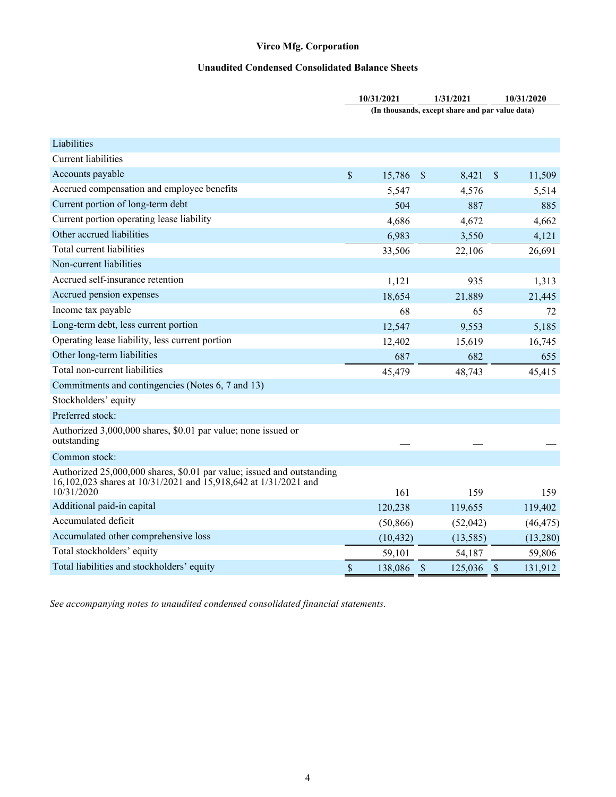## **Unaudited Condensed Consolidated Balance Sheets**

|                                                                                                                                                         |               | 10/31/2021 |    | 1/31/2021                                       |                           | 10/31/2020 |
|---------------------------------------------------------------------------------------------------------------------------------------------------------|---------------|------------|----|-------------------------------------------------|---------------------------|------------|
|                                                                                                                                                         |               |            |    | (In thousands, except share and par value data) |                           |            |
|                                                                                                                                                         |               |            |    |                                                 |                           |            |
| Liabilities                                                                                                                                             |               |            |    |                                                 |                           |            |
| <b>Current liabilities</b>                                                                                                                              |               |            |    |                                                 |                           |            |
| Accounts payable                                                                                                                                        | $\mathsf{\$}$ | 15,786     | S  | 8,421                                           | $\boldsymbol{\mathsf{S}}$ | 11,509     |
| Accrued compensation and employee benefits                                                                                                              |               | 5,547      |    | 4,576                                           |                           | 5,514      |
| Current portion of long-term debt                                                                                                                       |               | 504        |    | 887                                             |                           | 885        |
| Current portion operating lease liability                                                                                                               |               | 4,686      |    | 4,672                                           |                           | 4,662      |
| Other accrued liabilities                                                                                                                               |               | 6,983      |    | 3,550                                           |                           | 4,121      |
| Total current liabilities                                                                                                                               |               | 33,506     |    | 22,106                                          |                           | 26,691     |
| Non-current liabilities                                                                                                                                 |               |            |    |                                                 |                           |            |
| Accrued self-insurance retention                                                                                                                        |               | 1,121      |    | 935                                             |                           | 1,313      |
| Accrued pension expenses                                                                                                                                |               | 18,654     |    | 21,889                                          |                           | 21,445     |
| Income tax payable                                                                                                                                      |               | 68         |    | 65                                              |                           | 72         |
| Long-term debt, less current portion                                                                                                                    |               | 12,547     |    | 9,553                                           |                           | 5,185      |
| Operating lease liability, less current portion                                                                                                         |               | 12,402     |    | 15,619                                          |                           | 16,745     |
| Other long-term liabilities                                                                                                                             |               | 687        |    | 682                                             |                           | 655        |
| Total non-current liabilities                                                                                                                           |               | 45,479     |    | 48,743                                          |                           | 45,415     |
| Commitments and contingencies (Notes 6, 7 and 13)                                                                                                       |               |            |    |                                                 |                           |            |
| Stockholders' equity                                                                                                                                    |               |            |    |                                                 |                           |            |
| Preferred stock:                                                                                                                                        |               |            |    |                                                 |                           |            |
| Authorized 3,000,000 shares, \$0.01 par value; none issued or<br>outstanding                                                                            |               |            |    |                                                 |                           |            |
| Common stock:                                                                                                                                           |               |            |    |                                                 |                           |            |
| Authorized 25,000,000 shares, \$0.01 par value; issued and outstanding<br>16,102,023 shares at 10/31/2021 and 15,918,642 at 1/31/2021 and<br>10/31/2020 |               | 161        |    | 159                                             |                           | 159        |
| Additional paid-in capital                                                                                                                              |               | 120,238    |    | 119,655                                         |                           | 119,402    |
| Accumulated deficit                                                                                                                                     |               | (50, 866)  |    | (52,042)                                        |                           | (46, 475)  |
| Accumulated other comprehensive loss                                                                                                                    |               | (10, 432)  |    | (13, 585)                                       |                           | (13,280)   |
| Total stockholders' equity                                                                                                                              |               | 59,101     |    | 54,187                                          |                           | 59,806     |
| Total liabilities and stockholders' equity                                                                                                              | \$            | 138,086    | \$ | 125,036                                         | $\mathcal{S}$             | 131,912    |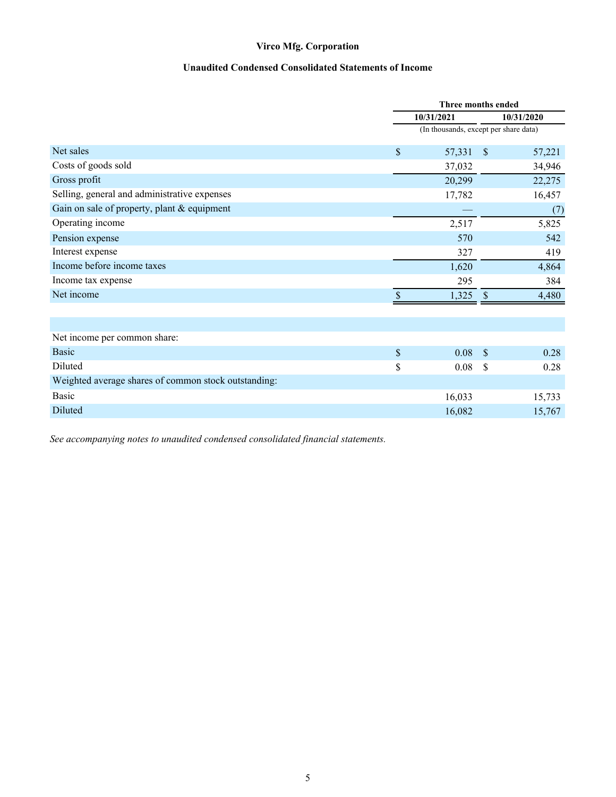### **Unaudited Condensed Consolidated Statements of Income**

<span id="page-5-0"></span>

|                                                      |      | Three months ended                    |               |        |
|------------------------------------------------------|------|---------------------------------------|---------------|--------|
|                                                      |      | 10/31/2021                            | 10/31/2020    |        |
|                                                      |      | (In thousands, except per share data) |               |        |
| Net sales                                            | \$   | 57,331                                | $\mathcal{S}$ | 57,221 |
| Costs of goods sold                                  |      | 37,032                                |               | 34,946 |
| Gross profit                                         |      | 20,299                                |               | 22,275 |
| Selling, general and administrative expenses         |      | 17,782                                |               | 16,457 |
| Gain on sale of property, plant & equipment          |      |                                       |               | (7)    |
| Operating income                                     |      | 2,517                                 |               | 5,825  |
| Pension expense                                      |      | 570                                   |               | 542    |
| Interest expense                                     |      | 327                                   |               | 419    |
| Income before income taxes                           |      | 1,620                                 |               | 4,864  |
| Income tax expense                                   |      | 295                                   |               | 384    |
| Net income                                           | \$   | 1,325                                 | <sup>S</sup>  | 4,480  |
|                                                      |      |                                       |               |        |
| Net income per common share:                         |      |                                       |               |        |
| <b>Basic</b>                                         | $\$$ | 0.08                                  | $\mathcal{S}$ | 0.28   |
| Diluted                                              | \$   | 0.08                                  | \$            | 0.28   |
| Weighted average shares of common stock outstanding: |      |                                       |               |        |
| <b>Basic</b>                                         |      | 16,033                                |               | 15,733 |
| Diluted                                              |      | 16,082                                |               | 15,767 |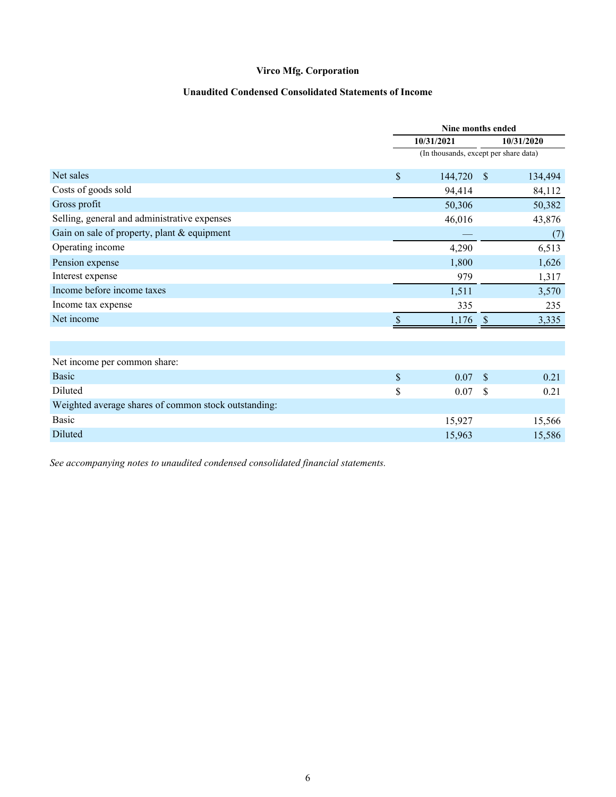## **Unaudited Condensed Consolidated Statements of Income**

<span id="page-6-0"></span>

|                                                      |    | Nine months ended                     |               |            |
|------------------------------------------------------|----|---------------------------------------|---------------|------------|
|                                                      |    | 10/31/2021                            |               | 10/31/2020 |
|                                                      |    | (In thousands, except per share data) |               |            |
| Net sales                                            | \$ | 144,720                               | <sup>S</sup>  | 134,494    |
| Costs of goods sold                                  |    | 94,414                                |               | 84,112     |
| Gross profit                                         |    | 50,306                                |               | 50,382     |
| Selling, general and administrative expenses         |    | 46,016                                |               | 43,876     |
| Gain on sale of property, plant & equipment          |    |                                       |               | (7)        |
| Operating income                                     |    | 4,290                                 |               | 6,513      |
| Pension expense                                      |    | 1,800                                 |               | 1,626      |
| Interest expense                                     |    | 979                                   |               | 1,317      |
| Income before income taxes                           |    | 1,511                                 |               | 3,570      |
| Income tax expense                                   |    | 335                                   |               | 235        |
| Net income                                           | S  | 1,176                                 | <sup>S</sup>  | 3,335      |
|                                                      |    |                                       |               |            |
|                                                      |    |                                       |               |            |
| Net income per common share:                         |    |                                       |               |            |
| <b>Basic</b>                                         | \$ | 0.07                                  | $\mathbf{\$}$ | 0.21       |
| Diluted                                              | \$ | 0.07                                  | \$            | 0.21       |
| Weighted average shares of common stock outstanding: |    |                                       |               |            |
| <b>Basic</b>                                         |    | 15,927                                |               | 15,566     |
| Diluted                                              |    | 15,963                                |               | 15,586     |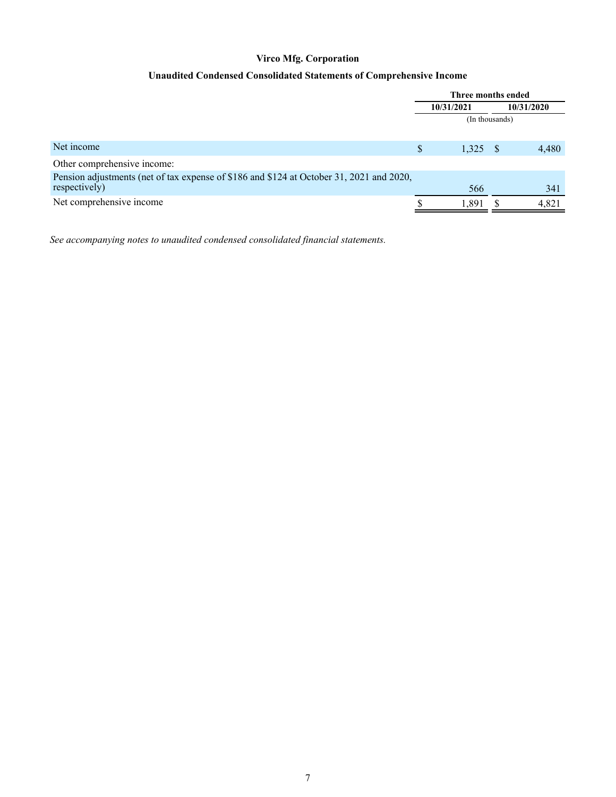## **Unaudited Condensed Consolidated Statements of Comprehensive Income**

<span id="page-7-0"></span>

|                                                                                          |                | Three months ended |  |            |  |
|------------------------------------------------------------------------------------------|----------------|--------------------|--|------------|--|
|                                                                                          |                | 10/31/2021         |  | 10/31/2020 |  |
|                                                                                          | (In thousands) |                    |  |            |  |
|                                                                                          |                |                    |  |            |  |
| Net income                                                                               | \$             | 1,325              |  | 4,480      |  |
| Other comprehensive income:                                                              |                |                    |  |            |  |
| Pension adjustments (net of tax expense of \$186 and \$124 at October 31, 2021 and 2020, |                |                    |  |            |  |
| respectively)                                                                            |                | 566                |  | 341        |  |
| Net comprehensive income                                                                 |                | 1,891              |  | 4,821      |  |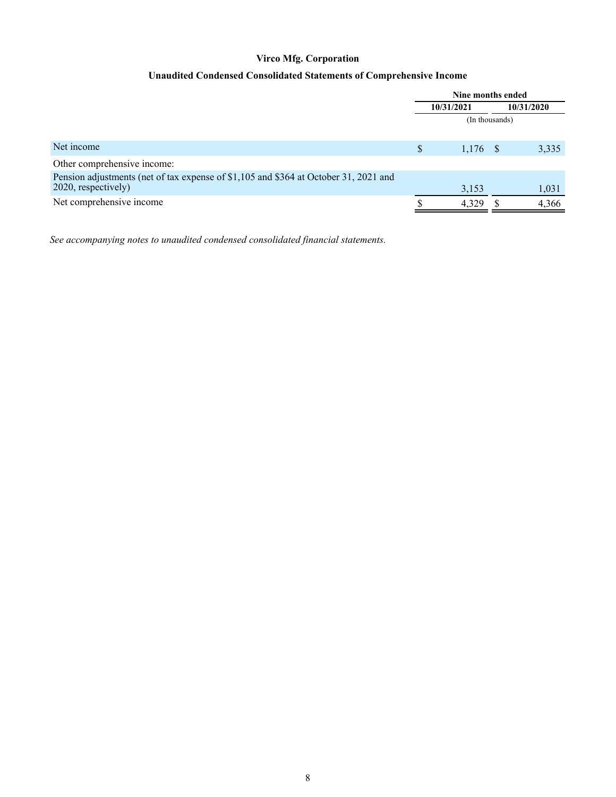## **Unaudited Condensed Consolidated Statements of Comprehensive Income**

<span id="page-8-0"></span>

|                                                                                                             |   | Nine months ended |                |       |  |
|-------------------------------------------------------------------------------------------------------------|---|-------------------|----------------|-------|--|
|                                                                                                             |   | 10/31/2021        | 10/31/2020     |       |  |
|                                                                                                             |   |                   | (In thousands) |       |  |
| Net income                                                                                                  | S | $1,176$ \$        |                | 3,335 |  |
| Other comprehensive income:                                                                                 |   |                   |                |       |  |
| Pension adjustments (net of tax expense of \$1,105 and \$364 at October 31, 2021 and<br>2020, respectively) |   | 3,153             |                | 1,031 |  |
| Net comprehensive income                                                                                    |   | 4,329             |                | 4,366 |  |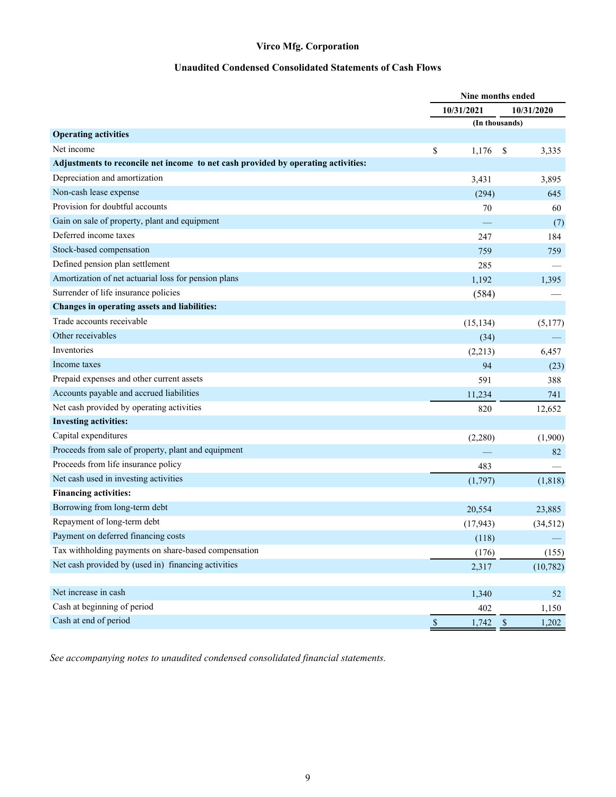## **Unaudited Condensed Consolidated Statements of Cash Flows**

<span id="page-9-0"></span>

|                                                                                   |              | Nine months ended |               |            |
|-----------------------------------------------------------------------------------|--------------|-------------------|---------------|------------|
|                                                                                   |              | 10/31/2021        |               | 10/31/2020 |
|                                                                                   |              | (In thousands)    |               |            |
| <b>Operating activities</b>                                                       |              |                   |               |            |
| Net income                                                                        | \$           | 1,176             | -S            | 3,335      |
| Adjustments to reconcile net income to net cash provided by operating activities: |              |                   |               |            |
| Depreciation and amortization                                                     |              | 3,431             |               | 3,895      |
| Non-cash lease expense                                                            |              | (294)             |               | 645        |
| Provision for doubtful accounts                                                   |              | 70                |               | 60         |
| Gain on sale of property, plant and equipment                                     |              |                   |               | (7)        |
| Deferred income taxes                                                             |              | 247               |               | 184        |
| Stock-based compensation                                                          |              | 759               |               | 759        |
| Defined pension plan settlement                                                   |              | 285               |               |            |
| Amortization of net actuarial loss for pension plans                              |              | 1,192             |               | 1,395      |
| Surrender of life insurance policies                                              |              | (584)             |               |            |
| Changes in operating assets and liabilities:                                      |              |                   |               |            |
| Trade accounts receivable                                                         |              | (15, 134)         |               | (5,177)    |
| Other receivables                                                                 |              | (34)              |               |            |
| Inventories                                                                       |              | (2,213)           |               | 6,457      |
| Income taxes                                                                      |              | 94                |               | (23)       |
| Prepaid expenses and other current assets                                         |              | 591               |               | 388        |
| Accounts payable and accrued liabilities                                          |              | 11,234            |               | 741        |
| Net cash provided by operating activities                                         |              | 820               |               | 12,652     |
| <b>Investing activities:</b>                                                      |              |                   |               |            |
| Capital expenditures                                                              |              | (2,280)           |               | (1,900)    |
| Proceeds from sale of property, plant and equipment                               |              |                   |               | 82         |
| Proceeds from life insurance policy                                               |              | 483               |               |            |
| Net cash used in investing activities                                             |              | (1,797)           |               | (1,818)    |
| <b>Financing activities:</b>                                                      |              |                   |               |            |
| Borrowing from long-term debt                                                     |              | 20,554            |               | 23,885     |
| Repayment of long-term debt                                                       |              | (17, 943)         |               | (34, 512)  |
| Payment on deferred financing costs                                               |              | (118)             |               |            |
| Tax withholding payments on share-based compensation                              |              | (176)             |               | (155)      |
| Net cash provided by (used in) financing activities                               |              | 2,317             |               | (10, 782)  |
|                                                                                   |              |                   |               |            |
| Net increase in cash                                                              |              | 1,340             |               | 52         |
| Cash at beginning of period                                                       |              | 402               |               | 1,150      |
| Cash at end of period                                                             | $\mathbb{S}$ | 1,742             | $\mathcal{S}$ | 1,202      |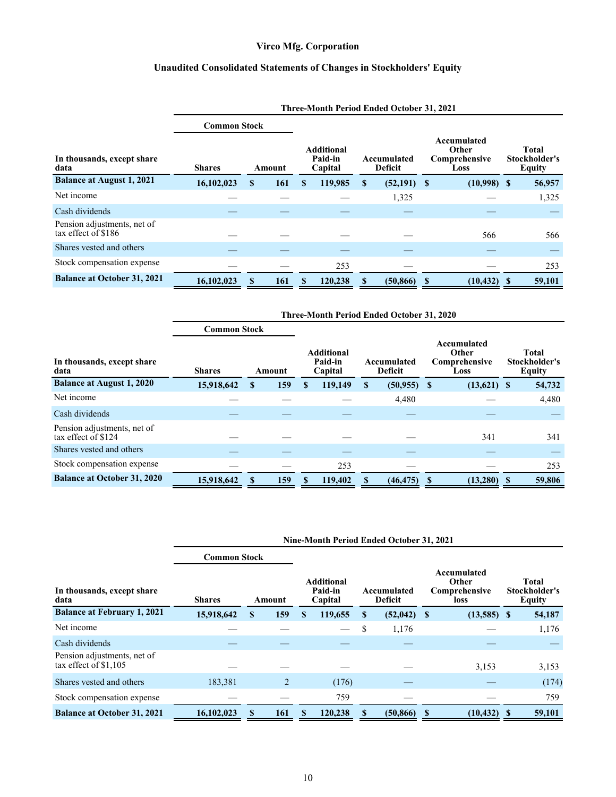## **Unaudited Consolidated Statements of Changes in Stockholders' Equity**

<span id="page-10-0"></span>

|                                                    | Three-Month Period Ended October 31, 2021 |                                                   |     |    |         |                               |               |                                               |                |                                         |        |  |
|----------------------------------------------------|-------------------------------------------|---------------------------------------------------|-----|----|---------|-------------------------------|---------------|-----------------------------------------------|----------------|-----------------------------------------|--------|--|
|                                                    | <b>Common Stock</b>                       |                                                   |     |    |         |                               |               |                                               |                |                                         |        |  |
| In thousands, except share<br>data                 | <b>Shares</b>                             | <b>Additional</b><br>Paid-in<br>Capital<br>Amount |     |    |         | Accumulated<br><b>Deficit</b> |               | Accumulated<br>Other<br>Comprehensive<br>Loss |                | <b>Total</b><br>Stockholder's<br>Equity |        |  |
| <b>Balance at August 1, 2021</b>                   | 16,102,023                                | S                                                 | 161 | S. | 119,985 | \$.                           | $(52,191)$ \$ |                                               | $(10,998)$ \$  |                                         | 56,957 |  |
| Net income                                         |                                           |                                                   |     |    |         |                               | 1,325         |                                               |                |                                         | 1,325  |  |
| Cash dividends                                     |                                           |                                                   |     |    |         |                               |               |                                               |                |                                         |        |  |
| Pension adjustments, net of<br>tax effect of \$186 |                                           |                                                   |     |    |         |                               |               |                                               | 566            |                                         | 566    |  |
| Shares vested and others                           |                                           |                                                   |     |    |         |                               |               |                                               |                |                                         |        |  |
| Stock compensation expense                         |                                           |                                                   |     |    | 253     |                               |               |                                               |                |                                         | 253    |  |
| <b>Balance at October 31, 2021</b>                 | 16,102,023                                |                                                   | 161 |    | 120,238 |                               | (50, 866)     |                                               | $(10, 432)$ \$ |                                         | 59,101 |  |

|                                                    | Three-Month Period Ended October 31, 2020 |    |        |    |                                         |    |                               |    |                                               |  |                                         |  |
|----------------------------------------------------|-------------------------------------------|----|--------|----|-----------------------------------------|----|-------------------------------|----|-----------------------------------------------|--|-----------------------------------------|--|
|                                                    | <b>Common Stock</b>                       |    |        |    |                                         |    |                               |    |                                               |  |                                         |  |
| In thousands, except share<br>data                 | <b>Shares</b>                             |    | Amount |    | <b>Additional</b><br>Paid-in<br>Capital |    | Accumulated<br><b>Deficit</b> |    | Accumulated<br>Other<br>Comprehensive<br>Loss |  | <b>Total</b><br>Stockholder's<br>Equity |  |
| <b>Balance at August 1, 2020</b>                   | 15,918,642                                | \$ | 159    | S. | 119,149                                 | \$ | (50, 955)                     | -S | $(13,621)$ \$                                 |  | 54,732                                  |  |
| Net income                                         |                                           |    |        |    |                                         |    | 4,480                         |    |                                               |  | 4,480                                   |  |
| Cash dividends                                     |                                           |    |        |    |                                         |    |                               |    |                                               |  |                                         |  |
| Pension adjustments, net of<br>tax effect of \$124 |                                           |    |        |    |                                         |    |                               |    | 341                                           |  | 341                                     |  |
| Shares vested and others                           |                                           |    |        |    |                                         |    |                               |    |                                               |  |                                         |  |
| Stock compensation expense                         |                                           |    |        |    | 253                                     |    |                               |    |                                               |  | 253                                     |  |
| <b>Balance at October 31, 2020</b>                 | 15.918.642                                |    | 159    |    | 119,402                                 |    | (46, 475)                     | S  | $(13,280)$ \$                                 |  | 59,806                                  |  |

|                                                       | Nine-Month Period Ended October 31, 2021 |    |                |   |                                         |    |                               |    |                                               |  |                                         |  |
|-------------------------------------------------------|------------------------------------------|----|----------------|---|-----------------------------------------|----|-------------------------------|----|-----------------------------------------------|--|-----------------------------------------|--|
|                                                       | <b>Common Stock</b>                      |    |                |   |                                         |    |                               |    |                                               |  |                                         |  |
| In thousands, except share<br>data                    | <b>Shares</b>                            |    | Amount         |   | <b>Additional</b><br>Paid-in<br>Capital |    | Accumulated<br><b>Deficit</b> |    | Accumulated<br>Other<br>Comprehensive<br>loss |  | Total<br>Stockholder's<br><b>Equity</b> |  |
| <b>Balance at February 1, 2021</b>                    | 15,918,642                               | S  | 159            | S | 119,655                                 | S  | $(52,042)$ \$                 |    | $(13,585)$ \$                                 |  | 54,187                                  |  |
| Net income                                            |                                          |    |                |   |                                         | \$ | 1,176                         |    |                                               |  | 1,176                                   |  |
| Cash dividends                                        |                                          |    |                |   |                                         |    |                               |    |                                               |  |                                         |  |
| Pension adjustments, net of<br>tax effect of $$1,105$ |                                          |    |                |   |                                         |    |                               |    | 3,153                                         |  | 3,153                                   |  |
| Shares vested and others                              | 183,381                                  |    | $\overline{2}$ |   | (176)                                   |    |                               |    |                                               |  | (174)                                   |  |
| Stock compensation expense                            |                                          |    |                |   | 759                                     |    |                               |    |                                               |  | 759                                     |  |
| <b>Balance at October 31, 2021</b>                    | 16,102,023                               | X. | 161            | S | 120,238                                 |    | (50, 866)                     | -8 | $(10, 432)$ \$                                |  | 59,101                                  |  |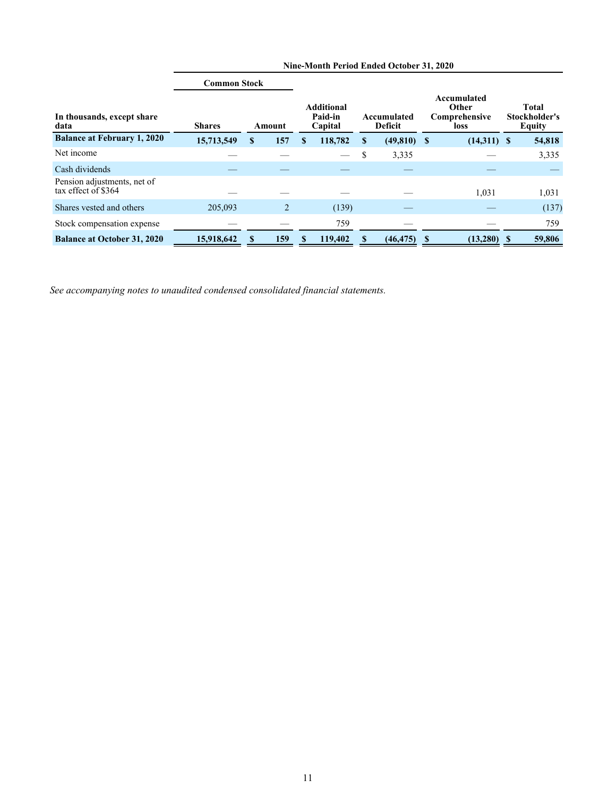|                                                    | <b>Common Stock</b> |   |        |   |                                         |                               |               |  |                                                      |                                                |
|----------------------------------------------------|---------------------|---|--------|---|-----------------------------------------|-------------------------------|---------------|--|------------------------------------------------------|------------------------------------------------|
| In thousands, except share<br>data                 | <b>Shares</b>       |   | Amount |   | <b>Additional</b><br>Paid-in<br>Capital | Accumulated<br><b>Deficit</b> |               |  | Accumulated<br>Other<br>Comprehensive<br><b>loss</b> | <b>Total</b><br>Stockholder's<br><b>Equity</b> |
| <b>Balance at February 1, 2020</b>                 | 15,713,549          | S | 157    | S | 118,782                                 | S                             | $(49,810)$ \$ |  | $(14,311)$ \$                                        | 54,818                                         |
| Net income                                         |                     |   |        |   |                                         | \$                            | 3,335         |  |                                                      | 3,335                                          |
| Cash dividends                                     |                     |   |        |   |                                         |                               |               |  |                                                      |                                                |
| Pension adjustments, net of<br>tax effect of \$364 |                     |   |        |   |                                         |                               |               |  | 1,031                                                | 1,031                                          |
| Shares vested and others                           | 205,093             |   | 2      |   | (139)                                   |                               |               |  |                                                      | (137)                                          |
| Stock compensation expense                         |                     |   |        |   | 759                                     |                               |               |  |                                                      | 759                                            |
| <b>Balance at October 31, 2020</b>                 | 15,918,642          |   | 159    |   | 119,402                                 |                               | (46, 475)     |  | (13,280)                                             | 59,806                                         |

**Nine-Month Period Ended October 31, 2020**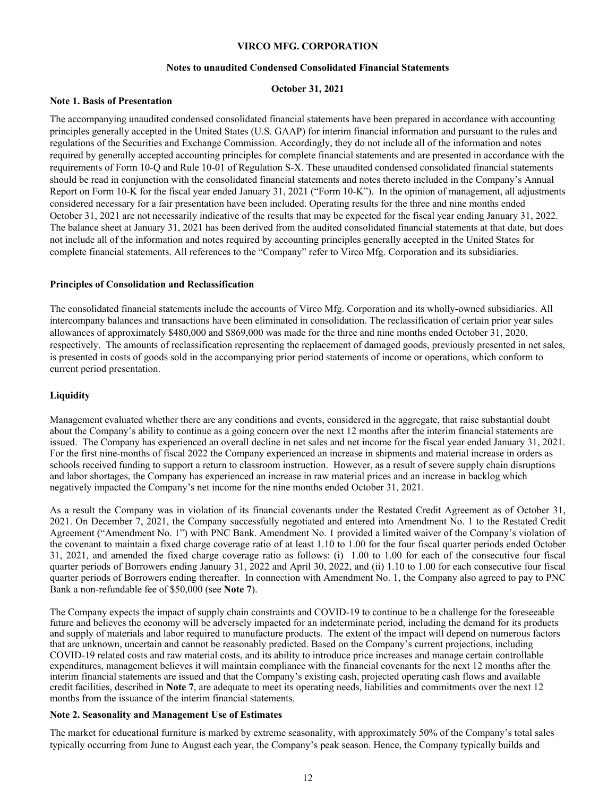#### **VIRCO MFG. CORPORATION**

#### **Notes to unaudited Condensed Consolidated Financial Statements**

#### **October 31, 2021**

#### <span id="page-12-0"></span>**Note 1. Basis of Presentation**

The accompanying unaudited condensed consolidated financial statements have been prepared in accordance with accounting principles generally accepted in the United States (U.S. GAAP) for interim financial information and pursuant to the rules and regulations of the Securities and Exchange Commission. Accordingly, they do not include all of the information and notes required by generally accepted accounting principles for complete financial statements and are presented in accordance with the requirements of Form 10-Q and Rule 10-01 of Regulation S-X. These unaudited condensed consolidated financial statements should be read in conjunction with the consolidated financial statements and notes thereto included in the Company's Annual Report on Form 10-K for the fiscal year ended January 31, 2021 ("Form 10-K"). In the opinion of management, all adjustments considered necessary for a fair presentation have been included. Operating results for the three and nine months ended October 31, 2021 are not necessarily indicative of the results that may be expected for the fiscal year ending January 31, 2022. The balance sheet at January 31, 2021 has been derived from the audited consolidated financial statements at that date, but does not include all of the information and notes required by accounting principles generally accepted in the United States for complete financial statements. All references to the "Company" refer to Virco Mfg. Corporation and its subsidiaries.

#### **Principles of Consolidation and Reclassification**

The consolidated financial statements include the accounts of Virco Mfg. Corporation and its wholly-owned subsidiaries. All intercompany balances and transactions have been eliminated in consolidation. The reclassification of certain prior year sales allowances of approximately \$480,000 and \$869,000 was made for the three and nine months ended October 31, 2020, respectively. The amounts of reclassification representing the replacement of damaged goods, previously presented in net sales, is presented in costs of goods sold in the accompanying prior period statements of income or operations, which conform to current period presentation.

#### **Liquidity**

Management evaluated whether there are any conditions and events, considered in the aggregate, that raise substantial doubt about the Company's ability to continue as a going concern over the next 12 months after the interim financial statements are issued. The Company has experienced an overall decline in net sales and net income for the fiscal year ended January 31, 2021. For the first nine-months of fiscal 2022 the Company experienced an increase in shipments and material increase in orders as schools received funding to support a return to classroom instruction. However, as a result of severe supply chain disruptions and labor shortages, the Company has experienced an increase in raw material prices and an increase in backlog which negatively impacted the Company's net income for the nine months ended October 31, 2021.

As a result the Company was in violation of its financial covenants under the Restated Credit Agreement as of October 31, 2021. On December 7, 2021, the Company successfully negotiated and entered into Amendment No. 1 to the Restated Credit Agreement ("Amendment No. 1") with PNC Bank. Amendment No. 1 provided a limited waiver of the Company's violation of the covenant to maintain a fixed charge coverage ratio of at least 1.10 to 1.00 for the four fiscal quarter periods ended October 31, 2021, and amended the fixed charge coverage ratio as follows: (i) 1.00 to 1.00 for each of the consecutive four fiscal quarter periods of Borrowers ending January 31, 2022 and April 30, 2022, and (ii) 1.10 to 1.00 for each consecutive four fiscal quarter periods of Borrowers ending thereafter. In connection with Amendment No. 1, the Company also agreed to pay to PNC Bank a non-refundable fee of \$50,000 (see **Note 7**).

The Company expects the impact of supply chain constraints and COVID-19 to continue to be a challenge for the foreseeable future and believes the economy will be adversely impacted for an indeterminate period, including the demand for its products and supply of materials and labor required to manufacture products. The extent of the impact will depend on numerous factors that are unknown, uncertain and cannot be reasonably predicted. Based on the Company's current projections, including COVID-19 related costs and raw material costs, and its ability to introduce price increases and manage certain controllable expenditures, management believes it will maintain compliance with the financial covenants for the next 12 months after the interim financial statements are issued and that the Company's existing cash, projected operating cash flows and available credit facilities, described in **Note 7**, are adequate to meet its operating needs, liabilities and commitments over the next 12 months from the issuance of the interim financial statements.

#### **Note 2. Seasonality and Management Use of Estimates**

The market for educational furniture is marked by extreme seasonality, with approximately 50% of the Company's total sales typically occurring from June to August each year, the Company's peak season. Hence, the Company typically builds and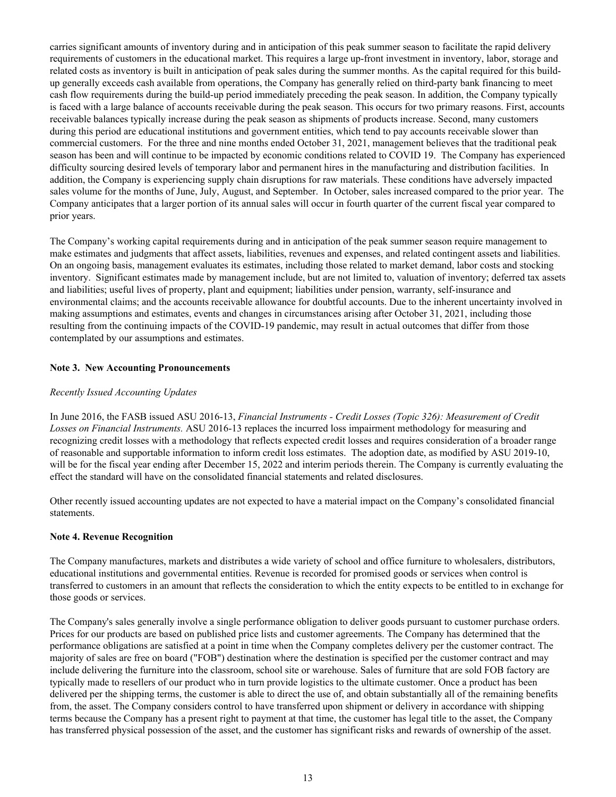carries significant amounts of inventory during and in anticipation of this peak summer season to facilitate the rapid delivery requirements of customers in the educational market. This requires a large up-front investment in inventory, labor, storage and related costs as inventory is built in anticipation of peak sales during the summer months. As the capital required for this buildup generally exceeds cash available from operations, the Company has generally relied on third-party bank financing to meet cash flow requirements during the build-up period immediately preceding the peak season. In addition, the Company typically is faced with a large balance of accounts receivable during the peak season. This occurs for two primary reasons. First, accounts receivable balances typically increase during the peak season as shipments of products increase. Second, many customers during this period are educational institutions and government entities, which tend to pay accounts receivable slower than commercial customers. For the three and nine months ended October 31, 2021, management believes that the traditional peak season has been and will continue to be impacted by economic conditions related to COVID 19. The Company has experienced difficulty sourcing desired levels of temporary labor and permanent hires in the manufacturing and distribution facilities. In addition, the Company is experiencing supply chain disruptions for raw materials. These conditions have adversely impacted sales volume for the months of June, July, August, and September. In October, sales increased compared to the prior year. The Company anticipates that a larger portion of its annual sales will occur in fourth quarter of the current fiscal year compared to prior years.

The Company's working capital requirements during and in anticipation of the peak summer season require management to make estimates and judgments that affect assets, liabilities, revenues and expenses, and related contingent assets and liabilities. On an ongoing basis, management evaluates its estimates, including those related to market demand, labor costs and stocking inventory. Significant estimates made by management include, but are not limited to, valuation of inventory; deferred tax assets and liabilities; useful lives of property, plant and equipment; liabilities under pension, warranty, self-insurance and environmental claims; and the accounts receivable allowance for doubtful accounts. Due to the inherent uncertainty involved in making assumptions and estimates, events and changes in circumstances arising after October 31, 2021, including those resulting from the continuing impacts of the COVID-19 pandemic, may result in actual outcomes that differ from those contemplated by our assumptions and estimates.

#### **Note 3. New Accounting Pronouncements**

#### *Recently Issued Accounting Updates*

In June 2016, the FASB issued ASU 2016-13, *Financial Instruments - Credit Losses (Topic 326): Measurement of Credit Losses on Financial Instruments.* ASU 2016-13 replaces the incurred loss impairment methodology for measuring and recognizing credit losses with a methodology that reflects expected credit losses and requires consideration of a broader range of reasonable and supportable information to inform credit loss estimates. The adoption date, as modified by ASU 2019-10, will be for the fiscal year ending after December 15, 2022 and interim periods therein. The Company is currently evaluating the effect the standard will have on the consolidated financial statements and related disclosures.

Other recently issued accounting updates are not expected to have a material impact on the Company's consolidated financial statements.

#### **Note 4. Revenue Recognition**

The Company manufactures, markets and distributes a wide variety of school and office furniture to wholesalers, distributors, educational institutions and governmental entities. Revenue is recorded for promised goods or services when control is transferred to customers in an amount that reflects the consideration to which the entity expects to be entitled to in exchange for those goods or services.

The Company's sales generally involve a single performance obligation to deliver goods pursuant to customer purchase orders. Prices for our products are based on published price lists and customer agreements. The Company has determined that the performance obligations are satisfied at a point in time when the Company completes delivery per the customer contract. The majority of sales are free on board ("FOB") destination where the destination is specified per the customer contract and may include delivering the furniture into the classroom, school site or warehouse. Sales of furniture that are sold FOB factory are typically made to resellers of our product who in turn provide logistics to the ultimate customer. Once a product has been delivered per the shipping terms, the customer is able to direct the use of, and obtain substantially all of the remaining benefits from, the asset. The Company considers control to have transferred upon shipment or delivery in accordance with shipping terms because the Company has a present right to payment at that time, the customer has legal title to the asset, the Company has transferred physical possession of the asset, and the customer has significant risks and rewards of ownership of the asset.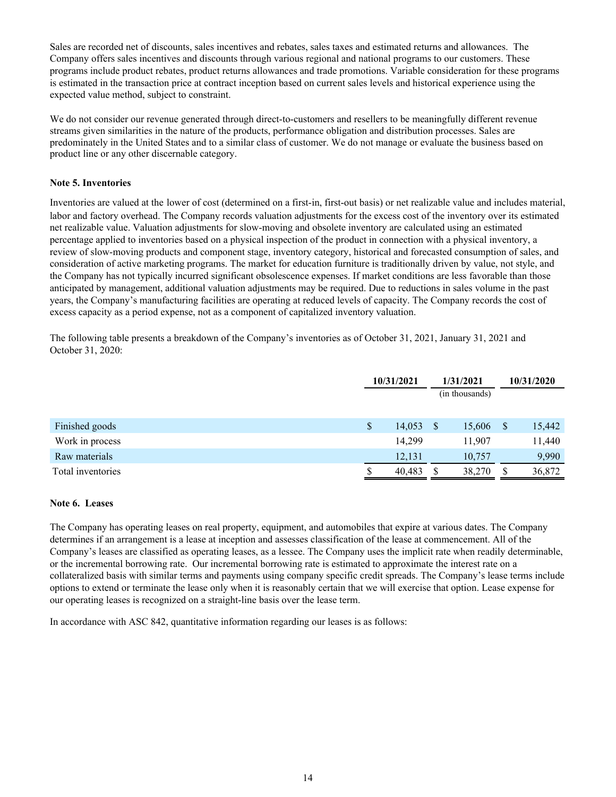Sales are recorded net of discounts, sales incentives and rebates, sales taxes and estimated returns and allowances. The Company offers sales incentives and discounts through various regional and national programs to our customers. These programs include product rebates, product returns allowances and trade promotions. Variable consideration for these programs is estimated in the transaction price at contract inception based on current sales levels and historical experience using the expected value method, subject to constraint.

We do not consider our revenue generated through direct-to-customers and resellers to be meaningfully different revenue streams given similarities in the nature of the products, performance obligation and distribution processes. Sales are predominately in the United States and to a similar class of customer. We do not manage or evaluate the business based on product line or any other discernable category.

#### **Note 5. Inventories**

Inventories are valued at the lower of cost (determined on a first-in, first-out basis) or net realizable value and includes material, labor and factory overhead. The Company records valuation adjustments for the excess cost of the inventory over its estimated net realizable value. Valuation adjustments for slow-moving and obsolete inventory are calculated using an estimated percentage applied to inventories based on a physical inspection of the product in connection with a physical inventory, a review of slow-moving products and component stage, inventory category, historical and forecasted consumption of sales, and consideration of active marketing programs. The market for education furniture is traditionally driven by value, not style, and the Company has not typically incurred significant obsolescence expenses. If market conditions are less favorable than those anticipated by management, additional valuation adjustments may be required. Due to reductions in sales volume in the past years, the Company's manufacturing facilities are operating at reduced levels of capacity. The Company records the cost of excess capacity as a period expense, not as a component of capitalized inventory valuation.

The following table presents a breakdown of the Company's inventories as of October 31, 2021, January 31, 2021 and October 31, 2020:

|                   |     | 10/31/2021 |               | 1/31/2021      |              | 10/31/2020 |
|-------------------|-----|------------|---------------|----------------|--------------|------------|
|                   |     |            |               | (in thousands) |              |            |
|                   |     |            |               |                |              |            |
| Finished goods    | S   | 14,053     | <sup>\$</sup> | 15,606         | <sup>S</sup> | 15,442     |
| Work in process   |     | 14,299     |               | 11,907         |              | 11,440     |
| Raw materials     |     | 12,131     |               | 10,757         |              | 9,990      |
| Total inventories | ۰D. | 40,483     | S             | 38,270         | <b>S</b>     | 36,872     |

#### **Note 6. Leases**

The Company has operating leases on real property, equipment, and automobiles that expire at various dates. The Company determines if an arrangement is a lease at inception and assesses classification of the lease at commencement. All of the Company's leases are classified as operating leases, as a lessee. The Company uses the implicit rate when readily determinable, or the incremental borrowing rate. Our incremental borrowing rate is estimated to approximate the interest rate on a collateralized basis with similar terms and payments using company specific credit spreads. The Company's lease terms include options to extend or terminate the lease only when it is reasonably certain that we will exercise that option. Lease expense for our operating leases is recognized on a straight-line basis over the lease term.

In accordance with ASC 842, quantitative information regarding our leases is as follows: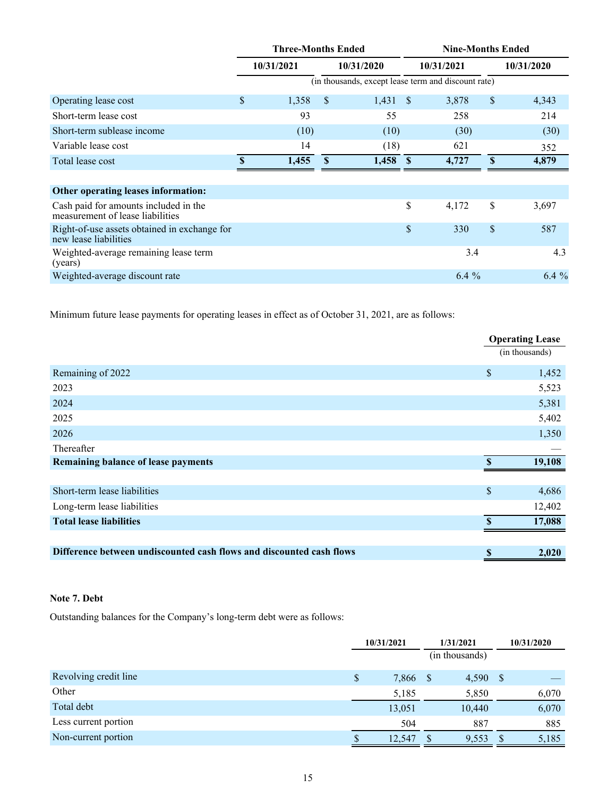|                                                                           | <b>Three-Months Ended</b> |       |               |       |      | <b>Nine-Months Ended</b>                            |              |            |  |
|---------------------------------------------------------------------------|---------------------------|-------|---------------|-------|------|-----------------------------------------------------|--------------|------------|--|
|                                                                           | 10/31/2021                |       | 10/31/2020    |       |      | 10/31/2021                                          |              | 10/31/2020 |  |
|                                                                           |                           |       |               |       |      | (in thousands, except lease term and discount rate) |              |            |  |
| Operating lease cost                                                      | \$                        | 1,358 | <sup>\$</sup> | 1,431 | - S  | 3,878                                               | $\sqrt{\ }$  | 4,343      |  |
| Short-term lease cost                                                     |                           | 93    |               | 55    |      | 258                                                 |              | 214        |  |
| Short-term sublease income                                                |                           | (10)  |               | (10)  |      | (30)                                                |              | (30)       |  |
| Variable lease cost                                                       |                           | 14    |               | (18)  |      | 621                                                 |              | 352        |  |
| Total lease cost                                                          | $\mathbf{\mathcal{S}}$    | 1,455 | $\mathbf{s}$  | 1,458 | - \$ | 4,727                                               | $\mathbf{s}$ | 4,879      |  |
|                                                                           |                           |       |               |       |      |                                                     |              |            |  |
| Other operating leases information:                                       |                           |       |               |       |      |                                                     |              |            |  |
| Cash paid for amounts included in the<br>measurement of lease liabilities |                           |       |               |       | \$   | 4,172                                               | \$           | 3,697      |  |
| Right-of-use assets obtained in exchange for<br>new lease liabilities     |                           |       |               |       | \$   | 330                                                 | $\mathbb{S}$ | 587        |  |
| Weighted-average remaining lease term<br>(years)                          |                           |       |               |       |      | 3.4                                                 |              | 4.3        |  |
| Weighted-average discount rate                                            |                           |       |               |       |      | $6.4\%$                                             |              | $6.4\%$    |  |

Minimum future lease payments for operating leases in effect as of October 31, 2021, are as follows:

|                                                                      |                        | <b>Operating Lease</b> |
|----------------------------------------------------------------------|------------------------|------------------------|
|                                                                      |                        | (in thousands)         |
| Remaining of 2022                                                    | \$                     | 1,452                  |
| 2023                                                                 |                        | 5,523                  |
| 2024                                                                 |                        | 5,381                  |
| 2025                                                                 |                        | 5,402                  |
| 2026                                                                 |                        | 1,350                  |
| Thereafter                                                           |                        |                        |
| <b>Remaining balance of lease payments</b>                           | <b>S</b>               | 19,108                 |
|                                                                      |                        |                        |
| Short-term lease liabilities                                         | \$                     | 4,686                  |
| Long-term lease liabilities                                          |                        | 12,402                 |
| <b>Total lease liabilities</b>                                       | $\mathbf{\mathcal{S}}$ | 17,088                 |
|                                                                      |                        |                        |
| Difference between undiscounted cash flows and discounted cash flows | \$                     | 2,020                  |

## **Note 7. Debt**

Outstanding balances for the Company's long-term debt were as follows:

|                       | 10/31/2021 |        | 1/31/2021 |                |              | 10/31/2020 |  |
|-----------------------|------------|--------|-----------|----------------|--------------|------------|--|
|                       |            |        |           | (in thousands) |              |            |  |
| Revolving credit line | \$         | 7,866  | -S        | 4,590          | <sup>S</sup> |            |  |
| Other                 |            | 5,185  |           | 5,850          |              | 6,070      |  |
| Total debt            |            | 13,051 |           | 10,440         |              | 6,070      |  |
| Less current portion  |            | 504    |           | 887            |              | 885        |  |
| Non-current portion   | \$         | 12,547 |           | 9,553          |              | 5,185      |  |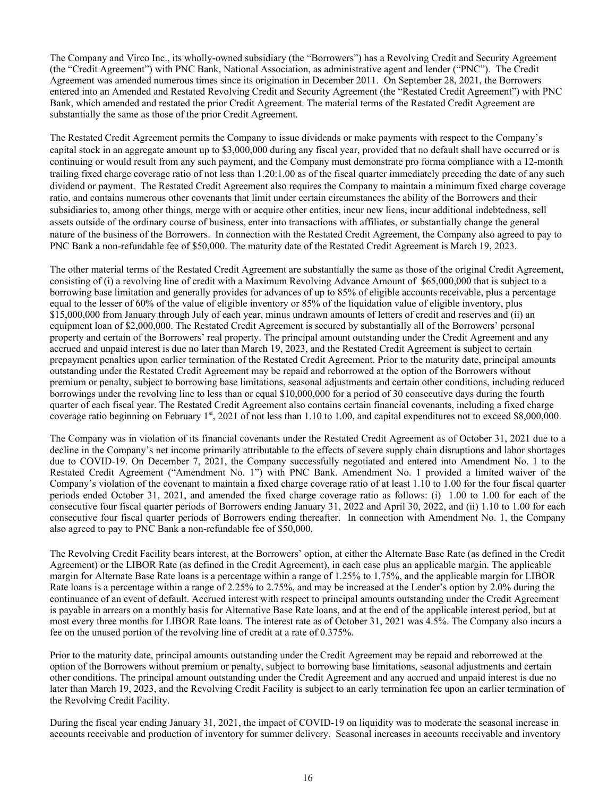The Company and Virco Inc., its wholly-owned subsidiary (the "Borrowers") has a Revolving Credit and Security Agreement (the "Credit Agreement") with PNC Bank, National Association, as administrative agent and lender ("PNC"). The Credit Agreement was amended numerous times since its origination in December 2011. On September 28, 2021, the Borrowers entered into an Amended and Restated Revolving Credit and Security Agreement (the "Restated Credit Agreement") with PNC Bank, which amended and restated the prior Credit Agreement. The material terms of the Restated Credit Agreement are substantially the same as those of the prior Credit Agreement.

The Restated Credit Agreement permits the Company to issue dividends or make payments with respect to the Company's capital stock in an aggregate amount up to \$3,000,000 during any fiscal year, provided that no default shall have occurred or is continuing or would result from any such payment, and the Company must demonstrate pro forma compliance with a 12-month trailing fixed charge coverage ratio of not less than 1.20:1.00 as of the fiscal quarter immediately preceding the date of any such dividend or payment. The Restated Credit Agreement also requires the Company to maintain a minimum fixed charge coverage ratio, and contains numerous other covenants that limit under certain circumstances the ability of the Borrowers and their subsidiaries to, among other things, merge with or acquire other entities, incur new liens, incur additional indebtedness, sell assets outside of the ordinary course of business, enter into transactions with affiliates, or substantially change the general nature of the business of the Borrowers. In connection with the Restated Credit Agreement, the Company also agreed to pay to PNC Bank a non-refundable fee of \$50,000. The maturity date of the Restated Credit Agreement is March 19, 2023.

The other material terms of the Restated Credit Agreement are substantially the same as those of the original Credit Agreement, consisting of (i) a revolving line of credit with a Maximum Revolving Advance Amount of \$65,000,000 that is subject to a borrowing base limitation and generally provides for advances of up to 85% of eligible accounts receivable, plus a percentage equal to the lesser of 60% of the value of eligible inventory or 85% of the liquidation value of eligible inventory, plus \$15,000,000 from January through July of each year, minus undrawn amounts of letters of credit and reserves and (ii) an equipment loan of \$2,000,000. The Restated Credit Agreement is secured by substantially all of the Borrowers' personal property and certain of the Borrowers' real property. The principal amount outstanding under the Credit Agreement and any accrued and unpaid interest is due no later than March 19, 2023, and the Restated Credit Agreement is subject to certain prepayment penalties upon earlier termination of the Restated Credit Agreement. Prior to the maturity date, principal amounts outstanding under the Restated Credit Agreement may be repaid and reborrowed at the option of the Borrowers without premium or penalty, subject to borrowing base limitations, seasonal adjustments and certain other conditions, including reduced borrowings under the revolving line to less than or equal \$10,000,000 for a period of 30 consecutive days during the fourth quarter of each fiscal year. The Restated Credit Agreement also contains certain financial covenants, including a fixed charge coverage ratio beginning on February 1st, 2021 of not less than 1.10 to 1.00, and capital expenditures not to exceed \$8,000,000.

The Company was in violation of its financial covenants under the Restated Credit Agreement as of October 31, 2021 due to a decline in the Company's net income primarily attributable to the effects of severe supply chain disruptions and labor shortages due to COVID-19. On December 7, 2021, the Company successfully negotiated and entered into Amendment No. 1 to the Restated Credit Agreement ("Amendment No. 1") with PNC Bank. Amendment No. 1 provided a limited waiver of the Company's violation of the covenant to maintain a fixed charge coverage ratio of at least 1.10 to 1.00 for the four fiscal quarter periods ended October 31, 2021, and amended the fixed charge coverage ratio as follows: (i) 1.00 to 1.00 for each of the consecutive four fiscal quarter periods of Borrowers ending January 31, 2022 and April 30, 2022, and (ii) 1.10 to 1.00 for each consecutive four fiscal quarter periods of Borrowers ending thereafter. In connection with Amendment No. 1, the Company also agreed to pay to PNC Bank a non-refundable fee of \$50,000.

The Revolving Credit Facility bears interest, at the Borrowers' option, at either the Alternate Base Rate (as defined in the Credit Agreement) or the LIBOR Rate (as defined in the Credit Agreement), in each case plus an applicable margin. The applicable margin for Alternate Base Rate loans is a percentage within a range of 1.25% to 1.75%, and the applicable margin for LIBOR Rate loans is a percentage within a range of 2.25% to 2.75%, and may be increased at the Lender's option by 2.0% during the continuance of an event of default. Accrued interest with respect to principal amounts outstanding under the Credit Agreement is payable in arrears on a monthly basis for Alternative Base Rate loans, and at the end of the applicable interest period, but at most every three months for LIBOR Rate loans. The interest rate as of October 31, 2021 was 4.5%. The Company also incurs a fee on the unused portion of the revolving line of credit at a rate of 0.375%.

Prior to the maturity date, principal amounts outstanding under the Credit Agreement may be repaid and reborrowed at the option of the Borrowers without premium or penalty, subject to borrowing base limitations, seasonal adjustments and certain other conditions. The principal amount outstanding under the Credit Agreement and any accrued and unpaid interest is due no later than March 19, 2023, and the Revolving Credit Facility is subject to an early termination fee upon an earlier termination of the Revolving Credit Facility.

During the fiscal year ending January 31, 2021, the impact of COVID-19 on liquidity was to moderate the seasonal increase in accounts receivable and production of inventory for summer delivery. Seasonal increases in accounts receivable and inventory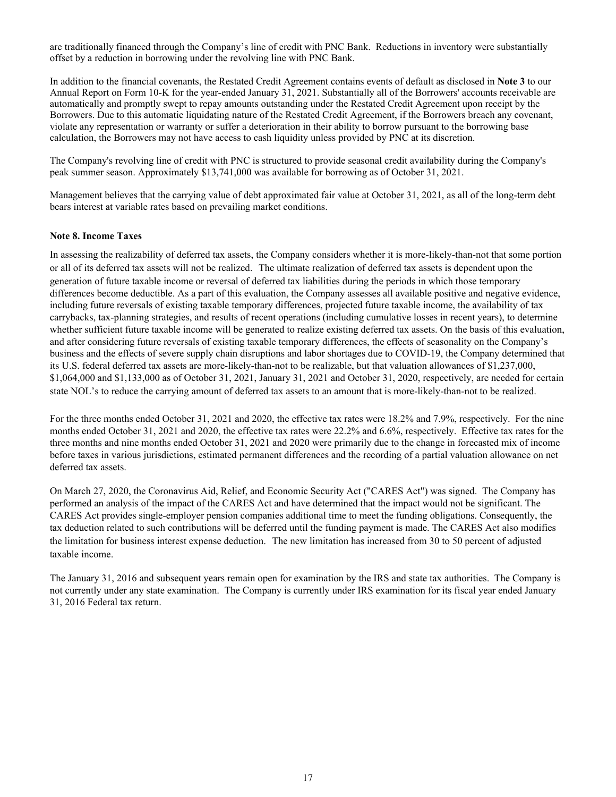are traditionally financed through the Company's line of credit with PNC Bank. Reductions in inventory were substantially offset by a reduction in borrowing under the revolving line with PNC Bank.

In addition to the financial covenants, the Restated Credit Agreement contains events of default as disclosed in **Note 3** to our Annual Report on Form 10-K for the year-ended January 31, 2021. Substantially all of the Borrowers' accounts receivable are automatically and promptly swept to repay amounts outstanding under the Restated Credit Agreement upon receipt by the Borrowers. Due to this automatic liquidating nature of the Restated Credit Agreement, if the Borrowers breach any covenant, violate any representation or warranty or suffer a deterioration in their ability to borrow pursuant to the borrowing base calculation, the Borrowers may not have access to cash liquidity unless provided by PNC at its discretion.

The Company's revolving line of credit with PNC is structured to provide seasonal credit availability during the Company's peak summer season. Approximately \$13,741,000 was available for borrowing as of October 31, 2021.

Management believes that the carrying value of debt approximated fair value at October 31, 2021, as all of the long-term debt bears interest at variable rates based on prevailing market conditions.

#### **Note 8. Income Taxes**

In assessing the realizability of deferred tax assets, the Company considers whether it is more-likely-than-not that some portion or all of its deferred tax assets will not be realized. The ultimate realization of deferred tax assets is dependent upon the generation of future taxable income or reversal of deferred tax liabilities during the periods in which those temporary differences become deductible. As a part of this evaluation, the Company assesses all available positive and negative evidence, including future reversals of existing taxable temporary differences, projected future taxable income, the availability of tax carrybacks, tax-planning strategies, and results of recent operations (including cumulative losses in recent years), to determine whether sufficient future taxable income will be generated to realize existing deferred tax assets. On the basis of this evaluation, and after considering future reversals of existing taxable temporary differences, the effects of seasonality on the Company's business and the effects of severe supply chain disruptions and labor shortages due to COVID-19, the Company determined that its U.S. federal deferred tax assets are more-likely-than-not to be realizable, but that valuation allowances of \$1,237,000, \$1,064,000 and \$1,133,000 as of October 31, 2021, January 31, 2021 and October 31, 2020, respectively, are needed for certain state NOL's to reduce the carrying amount of deferred tax assets to an amount that is more-likely-than-not to be realized.

For the three months ended October 31, 2021 and 2020, the effective tax rates were 18.2% and 7.9%, respectively. For the nine months ended October 31, 2021 and 2020, the effective tax rates were 22.2% and 6.6%, respectively. Effective tax rates for the three months and nine months ended October 31, 2021 and 2020 were primarily due to the change in forecasted mix of income before taxes in various jurisdictions, estimated permanent differences and the recording of a partial valuation allowance on net deferred tax assets.

On March 27, 2020, the Coronavirus Aid, Relief, and Economic Security Act ("CARES Act") was signed. The Company has performed an analysis of the impact of the CARES Act and have determined that the impact would not be significant. The CARES Act provides single-employer pension companies additional time to meet the funding obligations. Consequently, the tax deduction related to such contributions will be deferred until the funding payment is made. The CARES Act also modifies the limitation for business interest expense deduction. The new limitation has increased from 30 to 50 percent of adjusted taxable income.

The January 31, 2016 and subsequent years remain open for examination by the IRS and state tax authorities. The Company is not currently under any state examination. The Company is currently under IRS examination for its fiscal year ended January 31, 2016 Federal tax return.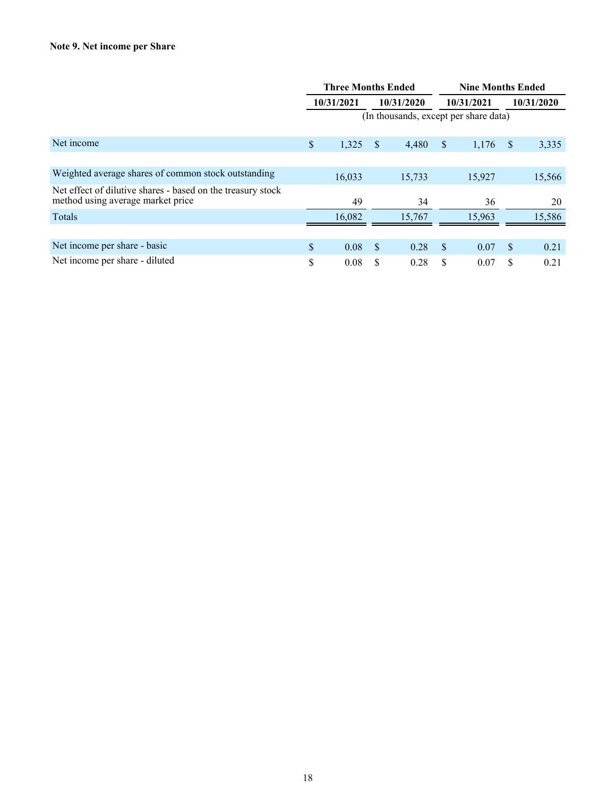|                                                                                                  | <b>Three Months Ended</b> |            |    |                                       |     |            | <b>Nine Months Ended</b> |            |  |
|--------------------------------------------------------------------------------------------------|---------------------------|------------|----|---------------------------------------|-----|------------|--------------------------|------------|--|
|                                                                                                  |                           | 10/31/2021 |    | 10/31/2020                            |     | 10/31/2021 |                          | 10/31/2020 |  |
|                                                                                                  |                           |            |    | (In thousands, except per share data) |     |            |                          |            |  |
|                                                                                                  |                           |            |    |                                       |     |            |                          |            |  |
| Net income                                                                                       | \$                        | 1,325      | \$ | 4,480                                 | \$  | 1,176      | <sup>S</sup>             | 3,335      |  |
|                                                                                                  |                           |            |    |                                       |     |            |                          |            |  |
| Weighted average shares of common stock outstanding                                              |                           | 16,033     |    | 15,733                                |     | 15,927     |                          | 15,566     |  |
| Net effect of dilutive shares - based on the treasury stock<br>method using average market price |                           | 49         |    | 34                                    |     | 36         |                          | 20         |  |
| Totals                                                                                           |                           | 16,082     |    | 15,767                                |     | 15,963     |                          | 15,586     |  |
|                                                                                                  |                           |            |    |                                       |     |            |                          |            |  |
| Net income per share - basic                                                                     | $\mathbb{S}$              | 0.08       | \$ | 0.28                                  | \$. | 0.07       | <sup>\$</sup>            | 0.21       |  |
| Net income per share - diluted                                                                   | \$                        | 0.08       | \$ | 0.28                                  | \$  | 0.07       | S                        | 0.21       |  |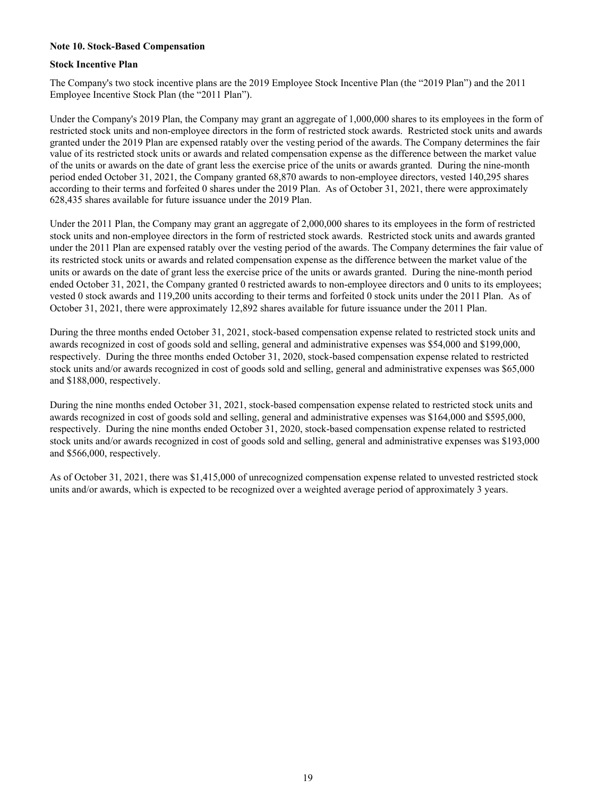#### **Note 10. Stock-Based Compensation**

#### **Stock Incentive Plan**

The Company's two stock incentive plans are the 2019 Employee Stock Incentive Plan (the "2019 Plan") and the 2011 Employee Incentive Stock Plan (the "2011 Plan").

Under the Company's 2019 Plan, the Company may grant an aggregate of 1,000,000 shares to its employees in the form of restricted stock units and non-employee directors in the form of restricted stock awards. Restricted stock units and awards granted under the 2019 Plan are expensed ratably over the vesting period of the awards. The Company determines the fair value of its restricted stock units or awards and related compensation expense as the difference between the market value of the units or awards on the date of grant less the exercise price of the units or awards granted. During the nine-month period ended October 31, 2021, the Company granted 68,870 awards to non-employee directors, vested 140,295 shares according to their terms and forfeited 0 shares under the 2019 Plan. As of October 31, 2021, there were approximately 628,435 shares available for future issuance under the 2019 Plan.

Under the 2011 Plan, the Company may grant an aggregate of 2,000,000 shares to its employees in the form of restricted stock units and non-employee directors in the form of restricted stock awards. Restricted stock units and awards granted under the 2011 Plan are expensed ratably over the vesting period of the awards. The Company determines the fair value of its restricted stock units or awards and related compensation expense as the difference between the market value of the units or awards on the date of grant less the exercise price of the units or awards granted. During the nine-month period ended October 31, 2021, the Company granted 0 restricted awards to non-employee directors and 0 units to its employees; vested 0 stock awards and 119,200 units according to their terms and forfeited 0 stock units under the 2011 Plan. As of October 31, 2021, there were approximately 12,892 shares available for future issuance under the 2011 Plan.

During the three months ended October 31, 2021, stock-based compensation expense related to restricted stock units and awards recognized in cost of goods sold and selling, general and administrative expenses was \$54,000 and \$199,000, respectively. During the three months ended October 31, 2020, stock-based compensation expense related to restricted stock units and/or awards recognized in cost of goods sold and selling, general and administrative expenses was \$65,000 and \$188,000, respectively.

During the nine months ended October 31, 2021, stock-based compensation expense related to restricted stock units and awards recognized in cost of goods sold and selling, general and administrative expenses was \$164,000 and \$595,000, respectively. During the nine months ended October 31, 2020, stock-based compensation expense related to restricted stock units and/or awards recognized in cost of goods sold and selling, general and administrative expenses was \$193,000 and \$566,000, respectively.

As of October 31, 2021, there was \$1,415,000 of unrecognized compensation expense related to unvested restricted stock units and/or awards, which is expected to be recognized over a weighted average period of approximately 3 years.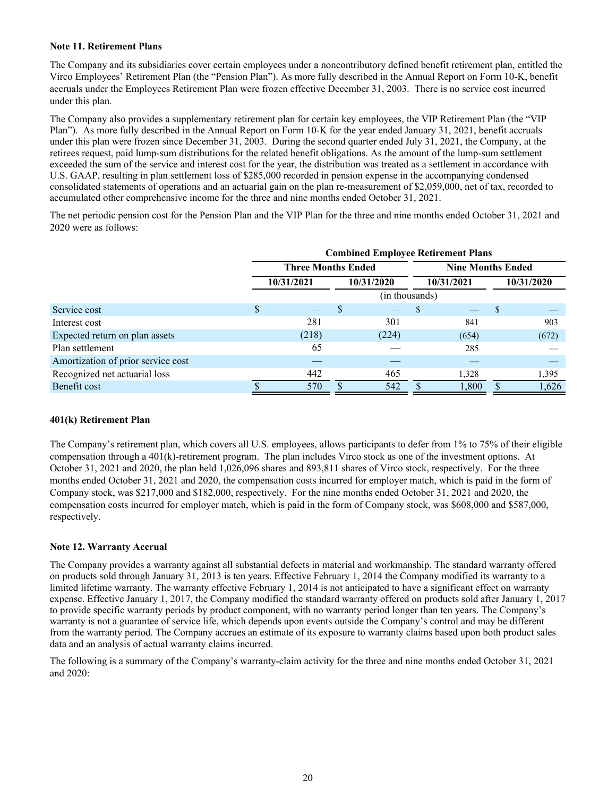#### **Note 11. Retirement Plans**

The Company and its subsidiaries cover certain employees under a noncontributory defined benefit retirement plan, entitled the Virco Employees' Retirement Plan (the "Pension Plan"). As more fully described in the Annual Report on Form 10-K, benefit accruals under the Employees Retirement Plan were frozen effective December 31, 2003. There is no service cost incurred under this plan.

The Company also provides a supplementary retirement plan for certain key employees, the VIP Retirement Plan (the "VIP Plan"). As more fully described in the Annual Report on Form 10-K for the year ended January 31, 2021, benefit accruals under this plan were frozen since December 31, 2003. During the second quarter ended July 31, 2021, the Company, at the retirees request, paid lump-sum distributions for the related benefit obligations. As the amount of the lump-sum settlement exceeded the sum of the service and interest cost for the year, the distribution was treated as a settlement in accordance with U.S. GAAP, resulting in plan settlement loss of \$285,000 recorded in pension expense in the accompanying condensed consolidated statements of operations and an actuarial gain on the plan re-measurement of \$2,059,000, net of tax, recorded to accumulated other comprehensive income for the three and nine months ended October 31, 2021.

The net periodic pension cost for the Pension Plan and the VIP Plan for the three and nine months ended October 31, 2021 and 2020 were as follows:

|                                    | <b>Combined Employee Retirement Plans</b> |                           |   |                |          |                          |  |            |  |  |  |  |
|------------------------------------|-------------------------------------------|---------------------------|---|----------------|----------|--------------------------|--|------------|--|--|--|--|
|                                    |                                           | <b>Three Months Ended</b> |   |                |          | <b>Nine Months Ended</b> |  |            |  |  |  |  |
|                                    |                                           | 10/31/2021                |   | 10/31/2020     |          | 10/31/2021               |  | 10/31/2020 |  |  |  |  |
|                                    |                                           |                           |   | (in thousands) |          |                          |  |            |  |  |  |  |
| Service cost                       | \$                                        |                           | S |                | <b>S</b> |                          |  |            |  |  |  |  |
| Interest cost                      |                                           | 281                       |   | 301            |          | 841                      |  | 903        |  |  |  |  |
| Expected return on plan assets     |                                           | (218)                     |   | (224)          |          | (654)                    |  | (672)      |  |  |  |  |
| Plan settlement                    |                                           | 65                        |   |                |          | 285                      |  |            |  |  |  |  |
| Amortization of prior service cost |                                           |                           |   |                |          |                          |  |            |  |  |  |  |
| Recognized net actuarial loss      |                                           | 442                       |   | 465            |          | 1,328                    |  | 1,395      |  |  |  |  |
| Benefit cost                       |                                           | 570                       |   | 542            |          | 1,800                    |  | 1,626      |  |  |  |  |

#### **401(k) Retirement Plan**

The Company's retirement plan, which covers all U.S. employees, allows participants to defer from 1% to 75% of their eligible compensation through a 401(k)-retirement program. The plan includes Virco stock as one of the investment options. At October 31, 2021 and 2020, the plan held 1,026,096 shares and 893,811 shares of Virco stock, respectively. For the three months ended October 31, 2021 and 2020, the compensation costs incurred for employer match, which is paid in the form of Company stock, was \$217,000 and \$182,000, respectively. For the nine months ended October 31, 2021 and 2020, the compensation costs incurred for employer match, which is paid in the form of Company stock, was \$608,000 and \$587,000, respectively.

#### **Note 12. Warranty Accrual**

The Company provides a warranty against all substantial defects in material and workmanship. The standard warranty offered on products sold through January 31, 2013 is ten years. Effective February 1, 2014 the Company modified its warranty to a limited lifetime warranty. The warranty effective February 1, 2014 is not anticipated to have a significant effect on warranty expense. Effective January 1, 2017, the Company modified the standard warranty offered on products sold after January 1, 2017 to provide specific warranty periods by product component, with no warranty period longer than ten years. The Company's warranty is not a guarantee of service life, which depends upon events outside the Company's control and may be different from the warranty period. The Company accrues an estimate of its exposure to warranty claims based upon both product sales data and an analysis of actual warranty claims incurred.

The following is a summary of the Company's warranty-claim activity for the three and nine months ended October 31, 2021 and 2020: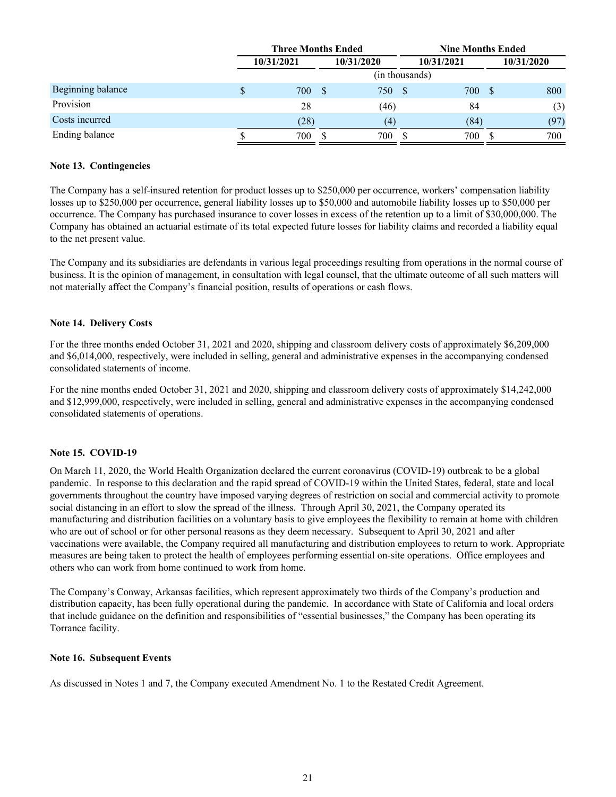|                   | <b>Three Months Ended</b> |            |            |                |      | <b>Nine Months Ended</b> |          |            |
|-------------------|---------------------------|------------|------------|----------------|------|--------------------------|----------|------------|
|                   |                           | 10/31/2021 | 10/31/2020 |                |      | 10/31/2021               |          | 10/31/2020 |
|                   |                           |            |            | (in thousands) |      |                          |          |            |
| Beginning balance |                           | 700        |            | 750            | - \$ | 700                      | <b>S</b> | 800        |
| Provision         |                           | 28         |            | (46)           |      | 84                       |          | (3)        |
| Costs incurred    |                           | (28)       |            | (4)            |      | (84)                     |          | (97)       |
| Ending balance    |                           | 700        |            | 700            |      | 700                      |          | 700        |

#### **Note 13. Contingencies**

The Company has a self-insured retention for product losses up to \$250,000 per occurrence, workers' compensation liability losses up to \$250,000 per occurrence, general liability losses up to \$50,000 and automobile liability losses up to \$50,000 per occurrence. The Company has purchased insurance to cover losses in excess of the retention up to a limit of \$30,000,000. The Company has obtained an actuarial estimate of its total expected future losses for liability claims and recorded a liability equal to the net present value.

The Company and its subsidiaries are defendants in various legal proceedings resulting from operations in the normal course of business. It is the opinion of management, in consultation with legal counsel, that the ultimate outcome of all such matters will not materially affect the Company's financial position, results of operations or cash flows.

#### **Note 14. Delivery Costs**

For the three months ended October 31, 2021 and 2020, shipping and classroom delivery costs of approximately \$6,209,000 and \$6,014,000, respectively, were included in selling, general and administrative expenses in the accompanying condensed consolidated statements of income.

For the nine months ended October 31, 2021 and 2020, shipping and classroom delivery costs of approximately \$14,242,000 and \$12,999,000, respectively, were included in selling, general and administrative expenses in the accompanying condensed consolidated statements of operations.

#### **Note 15. COVID-19**

On March 11, 2020, the World Health Organization declared the current coronavirus (COVID-19) outbreak to be a global pandemic. In response to this declaration and the rapid spread of COVID-19 within the United States, federal, state and local governments throughout the country have imposed varying degrees of restriction on social and commercial activity to promote social distancing in an effort to slow the spread of the illness. Through April 30, 2021, the Company operated its manufacturing and distribution facilities on a voluntary basis to give employees the flexibility to remain at home with children who are out of school or for other personal reasons as they deem necessary. Subsequent to April 30, 2021 and after vaccinations were available, the Company required all manufacturing and distribution employees to return to work. Appropriate measures are being taken to protect the health of employees performing essential on-site operations. Office employees and others who can work from home continued to work from home.

The Company's Conway, Arkansas facilities, which represent approximately two thirds of the Company's production and distribution capacity, has been fully operational during the pandemic. In accordance with State of California and local orders that include guidance on the definition and responsibilities of "essential businesses," the Company has been operating its Torrance facility.

#### **Note 16. Subsequent Events**

As discussed in Notes 1 and 7, the Company executed Amendment No. 1 to the Restated Credit Agreement.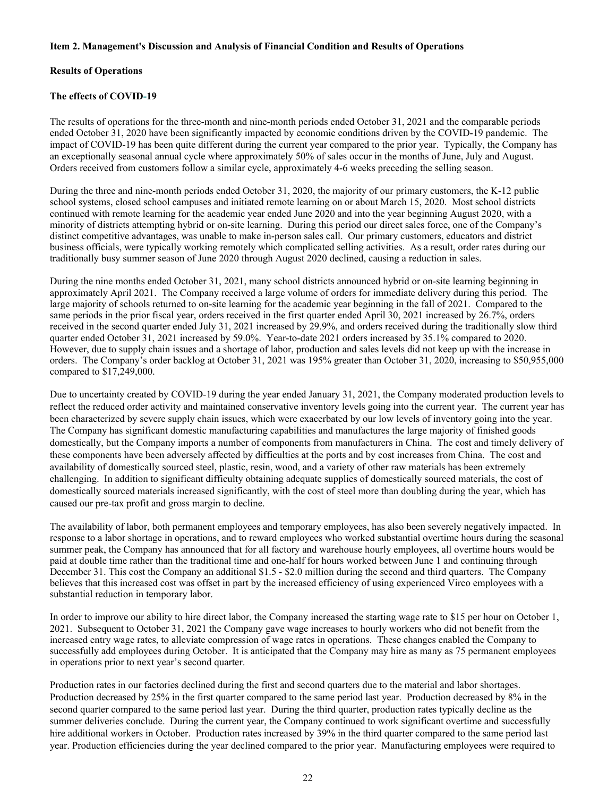#### <span id="page-22-0"></span>**Item 2. Management's Discussion and Analysis of Financial Condition and Results of Operations**

#### **Results of Operations**

#### **The effects of COVID-19**

The results of operations for the three-month and nine-month periods ended October 31, 2021 and the comparable periods ended October 31, 2020 have been significantly impacted by economic conditions driven by the COVID-19 pandemic. The impact of COVID-19 has been quite different during the current year compared to the prior year. Typically, the Company has an exceptionally seasonal annual cycle where approximately 50% of sales occur in the months of June, July and August. Orders received from customers follow a similar cycle, approximately 4-6 weeks preceding the selling season.

During the three and nine-month periods ended October 31, 2020, the majority of our primary customers, the K-12 public school systems, closed school campuses and initiated remote learning on or about March 15, 2020. Most school districts continued with remote learning for the academic year ended June 2020 and into the year beginning August 2020, with a minority of districts attempting hybrid or on-site learning. During this period our direct sales force, one of the Company's distinct competitive advantages, was unable to make in-person sales call. Our primary customers, educators and district business officials, were typically working remotely which complicated selling activities. As a result, order rates during our traditionally busy summer season of June 2020 through August 2020 declined, causing a reduction in sales.

During the nine months ended October 31, 2021, many school districts announced hybrid or on-site learning beginning in approximately April 2021. The Company received a large volume of orders for immediate delivery during this period. The large majority of schools returned to on-site learning for the academic year beginning in the fall of 2021. Compared to the same periods in the prior fiscal year, orders received in the first quarter ended April 30, 2021 increased by 26.7%, orders received in the second quarter ended July 31, 2021 increased by 29.9%, and orders received during the traditionally slow third quarter ended October 31, 2021 increased by 59.0%. Year-to-date 2021 orders increased by 35.1% compared to 2020. However, due to supply chain issues and a shortage of labor, production and sales levels did not keep up with the increase in orders. The Company's order backlog at October 31, 2021 was 195% greater than October 31, 2020, increasing to \$50,955,000 compared to \$17,249,000.

Due to uncertainty created by COVID-19 during the year ended January 31, 2021, the Company moderated production levels to reflect the reduced order activity and maintained conservative inventory levels going into the current year. The current year has been characterized by severe supply chain issues, which were exacerbated by our low levels of inventory going into the year. The Company has significant domestic manufacturing capabilities and manufactures the large majority of finished goods domestically, but the Company imports a number of components from manufacturers in China. The cost and timely delivery of these components have been adversely affected by difficulties at the ports and by cost increases from China. The cost and availability of domestically sourced steel, plastic, resin, wood, and a variety of other raw materials has been extremely challenging. In addition to significant difficulty obtaining adequate supplies of domestically sourced materials, the cost of domestically sourced materials increased significantly, with the cost of steel more than doubling during the year, which has caused our pre-tax profit and gross margin to decline.

The availability of labor, both permanent employees and temporary employees, has also been severely negatively impacted. In response to a labor shortage in operations, and to reward employees who worked substantial overtime hours during the seasonal summer peak, the Company has announced that for all factory and warehouse hourly employees, all overtime hours would be paid at double time rather than the traditional time and one-half for hours worked between June 1 and continuing through December 31. This cost the Company an additional \$1.5 - \$2.0 million during the second and third quarters. The Company believes that this increased cost was offset in part by the increased efficiency of using experienced Virco employees with a substantial reduction in temporary labor.

In order to improve our ability to hire direct labor, the Company increased the starting wage rate to \$15 per hour on October 1, 2021. Subsequent to October 31, 2021 the Company gave wage increases to hourly workers who did not benefit from the increased entry wage rates, to alleviate compression of wage rates in operations. These changes enabled the Company to successfully add employees during October. It is anticipated that the Company may hire as many as 75 permanent employees in operations prior to next year's second quarter.

Production rates in our factories declined during the first and second quarters due to the material and labor shortages. Production decreased by 25% in the first quarter compared to the same period last year. Production decreased by 8% in the second quarter compared to the same period last year. During the third quarter, production rates typically decline as the summer deliveries conclude. During the current year, the Company continued to work significant overtime and successfully hire additional workers in October. Production rates increased by 39% in the third quarter compared to the same period last year. Production efficiencies during the year declined compared to the prior year. Manufacturing employees were required to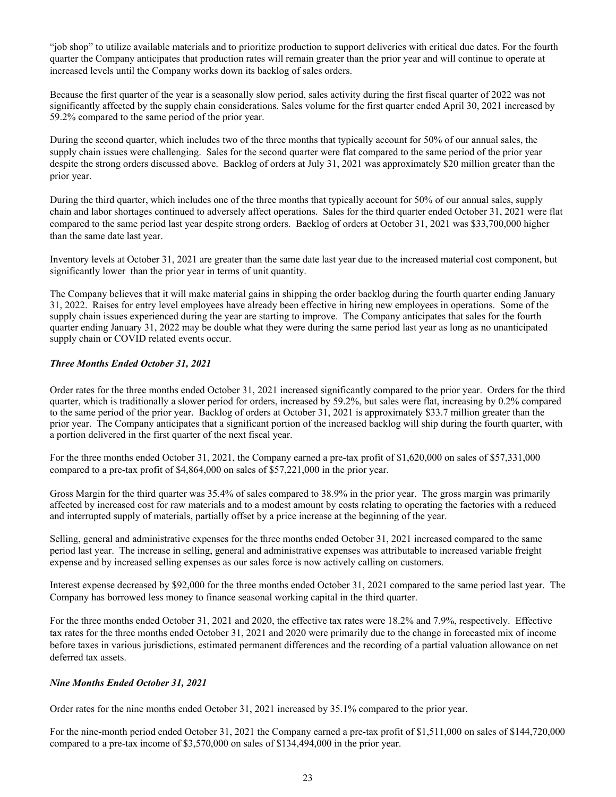"job shop" to utilize available materials and to prioritize production to support deliveries with critical due dates. For the fourth quarter the Company anticipates that production rates will remain greater than the prior year and will continue to operate at increased levels until the Company works down its backlog of sales orders.

Because the first quarter of the year is a seasonally slow period, sales activity during the first fiscal quarter of 2022 was not significantly affected by the supply chain considerations. Sales volume for the first quarter ended April 30, 2021 increased by 59.2% compared to the same period of the prior year.

During the second quarter, which includes two of the three months that typically account for 50% of our annual sales, the supply chain issues were challenging. Sales for the second quarter were flat compared to the same period of the prior year despite the strong orders discussed above. Backlog of orders at July 31, 2021 was approximately \$20 million greater than the prior year.

During the third quarter, which includes one of the three months that typically account for 50% of our annual sales, supply chain and labor shortages continued to adversely affect operations. Sales for the third quarter ended October 31, 2021 were flat compared to the same period last year despite strong orders. Backlog of orders at October 31, 2021 was \$33,700,000 higher than the same date last year.

Inventory levels at October 31, 2021 are greater than the same date last year due to the increased material cost component, but significantly lower than the prior year in terms of unit quantity.

The Company believes that it will make material gains in shipping the order backlog during the fourth quarter ending January 31, 2022. Raises for entry level employees have already been effective in hiring new employees in operations. Some of the supply chain issues experienced during the year are starting to improve. The Company anticipates that sales for the fourth quarter ending January 31, 2022 may be double what they were during the same period last year as long as no unanticipated supply chain or COVID related events occur.

#### *Three Months Ended October 31, 2021*

Order rates for the three months ended October 31, 2021 increased significantly compared to the prior year. Orders for the third quarter, which is traditionally a slower period for orders, increased by 59.2%, but sales were flat, increasing by 0.2% compared to the same period of the prior year. Backlog of orders at October 31, 2021 is approximately \$33.7 million greater than the prior year. The Company anticipates that a significant portion of the increased backlog will ship during the fourth quarter, with a portion delivered in the first quarter of the next fiscal year.

For the three months ended October 31, 2021, the Company earned a pre-tax profit of \$1,620,000 on sales of \$57,331,000 compared to a pre-tax profit of \$4,864,000 on sales of \$57,221,000 in the prior year.

Gross Margin for the third quarter was 35.4% of sales compared to 38.9% in the prior year. The gross margin was primarily affected by increased cost for raw materials and to a modest amount by costs relating to operating the factories with a reduced and interrupted supply of materials, partially offset by a price increase at the beginning of the year.

Selling, general and administrative expenses for the three months ended October 31, 2021 increased compared to the same period last year. The increase in selling, general and administrative expenses was attributable to increased variable freight expense and by increased selling expenses as our sales force is now actively calling on customers.

Interest expense decreased by \$92,000 for the three months ended October 31, 2021 compared to the same period last year. The Company has borrowed less money to finance seasonal working capital in the third quarter.

For the three months ended October 31, 2021 and 2020, the effective tax rates were 18.2% and 7.9%, respectively. Effective tax rates for the three months ended October 31, 2021 and 2020 were primarily due to the change in forecasted mix of income before taxes in various jurisdictions, estimated permanent differences and the recording of a partial valuation allowance on net deferred tax assets.

#### *Nine Months Ended October 31, 2021*

Order rates for the nine months ended October 31, 2021 increased by 35.1% compared to the prior year.

For the nine-month period ended October 31, 2021 the Company earned a pre-tax profit of \$1,511,000 on sales of \$144,720,000 compared to a pre-tax income of \$3,570,000 on sales of \$134,494,000 in the prior year.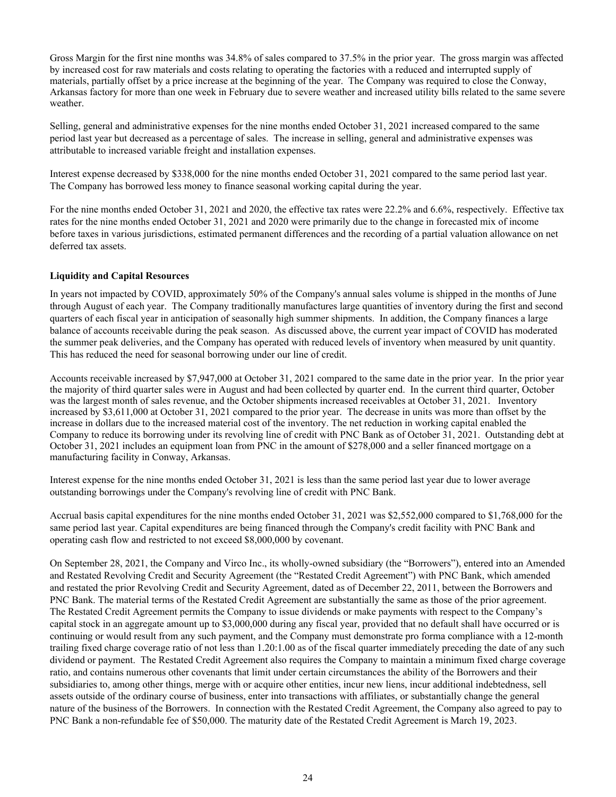Gross Margin for the first nine months was 34.8% of sales compared to 37.5% in the prior year. The gross margin was affected by increased cost for raw materials and costs relating to operating the factories with a reduced and interrupted supply of materials, partially offset by a price increase at the beginning of the year. The Company was required to close the Conway, Arkansas factory for more than one week in February due to severe weather and increased utility bills related to the same severe weather.

Selling, general and administrative expenses for the nine months ended October 31, 2021 increased compared to the same period last year but decreased as a percentage of sales. The increase in selling, general and administrative expenses was attributable to increased variable freight and installation expenses.

Interest expense decreased by \$338,000 for the nine months ended October 31, 2021 compared to the same period last year. The Company has borrowed less money to finance seasonal working capital during the year.

For the nine months ended October 31, 2021 and 2020, the effective tax rates were 22.2% and 6.6%, respectively. Effective tax rates for the nine months ended October 31, 2021 and 2020 were primarily due to the change in forecasted mix of income before taxes in various jurisdictions, estimated permanent differences and the recording of a partial valuation allowance on net deferred tax assets.

#### **Liquidity and Capital Resources**

In years not impacted by COVID, approximately 50% of the Company's annual sales volume is shipped in the months of June through August of each year. The Company traditionally manufactures large quantities of inventory during the first and second quarters of each fiscal year in anticipation of seasonally high summer shipments. In addition, the Company finances a large balance of accounts receivable during the peak season. As discussed above, the current year impact of COVID has moderated the summer peak deliveries, and the Company has operated with reduced levels of inventory when measured by unit quantity. This has reduced the need for seasonal borrowing under our line of credit.

Accounts receivable increased by \$7,947,000 at October 31, 2021 compared to the same date in the prior year. In the prior year the majority of third quarter sales were in August and had been collected by quarter end. In the current third quarter, October was the largest month of sales revenue, and the October shipments increased receivables at October 31, 2021. Inventory increased by \$3,611,000 at October 31, 2021 compared to the prior year. The decrease in units was more than offset by the increase in dollars due to the increased material cost of the inventory. The net reduction in working capital enabled the Company to reduce its borrowing under its revolving line of credit with PNC Bank as of October 31, 2021. Outstanding debt at October 31, 2021 includes an equipment loan from PNC in the amount of \$278,000 and a seller financed mortgage on a manufacturing facility in Conway, Arkansas.

Interest expense for the nine months ended October 31, 2021 is less than the same period last year due to lower average outstanding borrowings under the Company's revolving line of credit with PNC Bank.

Accrual basis capital expenditures for the nine months ended October 31, 2021 was \$2,552,000 compared to \$1,768,000 for the same period last year. Capital expenditures are being financed through the Company's credit facility with PNC Bank and operating cash flow and restricted to not exceed \$8,000,000 by covenant.

On September 28, 2021, the Company and Virco Inc., its wholly-owned subsidiary (the "Borrowers"), entered into an Amended and Restated Revolving Credit and Security Agreement (the "Restated Credit Agreement") with PNC Bank, which amended and restated the prior Revolving Credit and Security Agreement, dated as of December 22, 2011, between the Borrowers and PNC Bank. The material terms of the Restated Credit Agreement are substantially the same as those of the prior agreement. The Restated Credit Agreement permits the Company to issue dividends or make payments with respect to the Company's capital stock in an aggregate amount up to \$3,000,000 during any fiscal year, provided that no default shall have occurred or is continuing or would result from any such payment, and the Company must demonstrate pro forma compliance with a 12-month trailing fixed charge coverage ratio of not less than 1.20:1.00 as of the fiscal quarter immediately preceding the date of any such dividend or payment. The Restated Credit Agreement also requires the Company to maintain a minimum fixed charge coverage ratio, and contains numerous other covenants that limit under certain circumstances the ability of the Borrowers and their subsidiaries to, among other things, merge with or acquire other entities, incur new liens, incur additional indebtedness, sell assets outside of the ordinary course of business, enter into transactions with affiliates, or substantially change the general nature of the business of the Borrowers. In connection with the Restated Credit Agreement, the Company also agreed to pay to PNC Bank a non-refundable fee of \$50,000. The maturity date of the Restated Credit Agreement is March 19, 2023.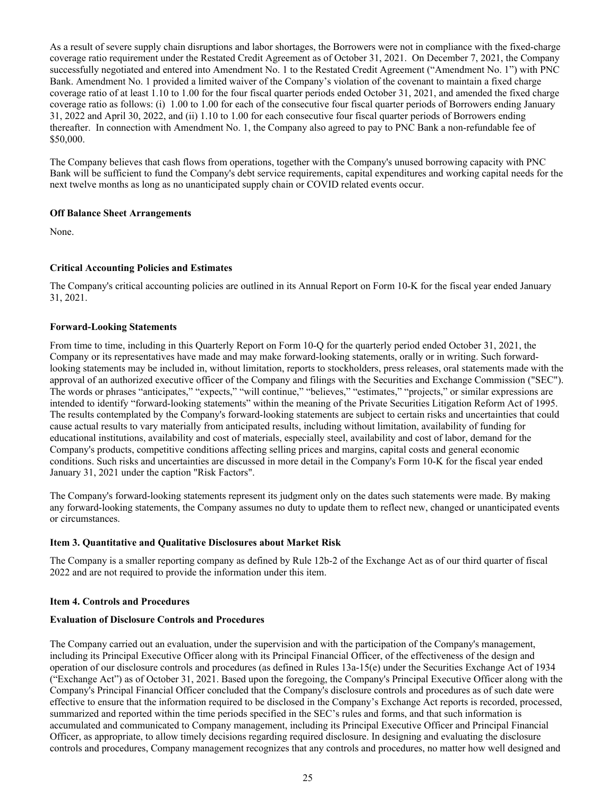<span id="page-25-0"></span>As a result of severe supply chain disruptions and labor shortages, the Borrowers were not in compliance with the fixed-charge coverage ratio requirement under the Restated Credit Agreement as of October 31, 2021. On December 7, 2021, the Company successfully negotiated and entered into Amendment No. 1 to the Restated Credit Agreement ("Amendment No. 1") with PNC Bank. Amendment No. 1 provided a limited waiver of the Company's violation of the covenant to maintain a fixed charge coverage ratio of at least 1.10 to 1.00 for the four fiscal quarter periods ended October 31, 2021, and amended the fixed charge coverage ratio as follows: (i) 1.00 to 1.00 for each of the consecutive four fiscal quarter periods of Borrowers ending January 31, 2022 and April 30, 2022, and (ii) 1.10 to 1.00 for each consecutive four fiscal quarter periods of Borrowers ending thereafter. In connection with Amendment No. 1, the Company also agreed to pay to PNC Bank a non-refundable fee of \$50,000.

The Company believes that cash flows from operations, together with the Company's unused borrowing capacity with PNC Bank will be sufficient to fund the Company's debt service requirements, capital expenditures and working capital needs for the next twelve months as long as no unanticipated supply chain or COVID related events occur.

#### **Off Balance Sheet Arrangements**

None.

#### **Critical Accounting Policies and Estimates**

The Company's critical accounting policies are outlined in its Annual Report on Form 10-K for the fiscal year ended January 31, 2021.

#### **Forward-Looking Statements**

From time to time, including in this Quarterly Report on Form 10-Q for the quarterly period ended October 31, 2021, the Company or its representatives have made and may make forward-looking statements, orally or in writing. Such forwardlooking statements may be included in, without limitation, reports to stockholders, press releases, oral statements made with the approval of an authorized executive officer of the Company and filings with the Securities and Exchange Commission ("SEC"). The words or phrases "anticipates," "expects," "will continue," "believes," "estimates," "projects," or similar expressions are intended to identify "forward-looking statements" within the meaning of the Private Securities Litigation Reform Act of 1995. The results contemplated by the Company's forward-looking statements are subject to certain risks and uncertainties that could cause actual results to vary materially from anticipated results, including without limitation, availability of funding for educational institutions, availability and cost of materials, especially steel, availability and cost of labor, demand for the Company's products, competitive conditions affecting selling prices and margins, capital costs and general economic conditions. Such risks and uncertainties are discussed in more detail in the Company's Form 10-K for the fiscal year ended January 31, 2021 under the caption "Risk Factors".

The Company's forward-looking statements represent its judgment only on the dates such statements were made. By making any forward-looking statements, the Company assumes no duty to update them to reflect new, changed or unanticipated events or circumstances.

#### **Item 3. Quantitative and Qualitative Disclosures about Market Risk**

The Company is a smaller reporting company as defined by Rule 12b-2 of the Exchange Act as of our third quarter of fiscal 2022 and are not required to provide the information under this item.

#### **Item 4. Controls and Procedures**

#### **Evaluation of Disclosure Controls and Procedures**

The Company carried out an evaluation, under the supervision and with the participation of the Company's management, including its Principal Executive Officer along with its Principal Financial Officer, of the effectiveness of the design and operation of our disclosure controls and procedures (as defined in Rules 13a-15(e) under the Securities Exchange Act of 1934 ("Exchange Act") as of October 31, 2021. Based upon the foregoing, the Company's Principal Executive Officer along with the Company's Principal Financial Officer concluded that the Company's disclosure controls and procedures as of such date were effective to ensure that the information required to be disclosed in the Company's Exchange Act reports is recorded, processed, summarized and reported within the time periods specified in the SEC's rules and forms, and that such information is accumulated and communicated to Company management, including its Principal Executive Officer and Principal Financial Officer, as appropriate, to allow timely decisions regarding required disclosure. In designing and evaluating the disclosure controls and procedures, Company management recognizes that any controls and procedures, no matter how well designed and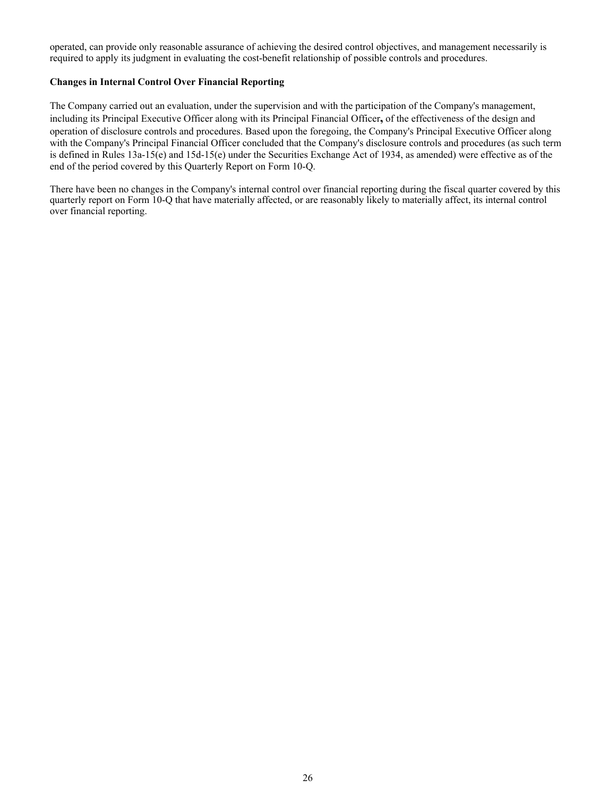operated, can provide only reasonable assurance of achieving the desired control objectives, and management necessarily is required to apply its judgment in evaluating the cost-benefit relationship of possible controls and procedures.

#### **Changes in Internal Control Over Financial Reporting**

The Company carried out an evaluation, under the supervision and with the participation of the Company's management, including its Principal Executive Officer along with its Principal Financial Officer**,** of the effectiveness of the design and operation of disclosure controls and procedures. Based upon the foregoing, the Company's Principal Executive Officer along with the Company's Principal Financial Officer concluded that the Company's disclosure controls and procedures (as such term is defined in Rules 13a-15(e) and 15d-15(e) under the Securities Exchange Act of 1934, as amended) were effective as of the end of the period covered by this Quarterly Report on Form 10-Q.

There have been no changes in the Company's internal control over financial reporting during the fiscal quarter covered by this quarterly report on Form 10-Q that have materially affected, or are reasonably likely to materially affect, its internal control over financial reporting.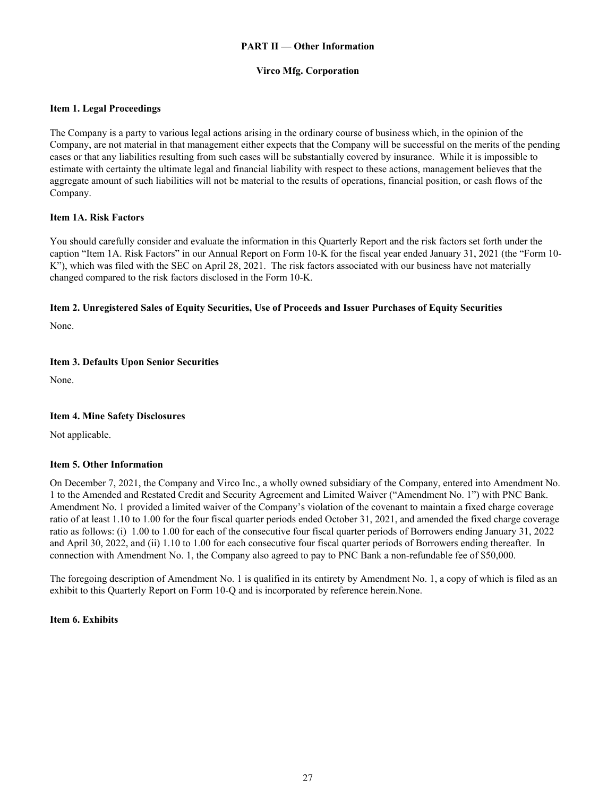#### **PART II — Other Information**

#### **Virco Mfg. Corporation**

#### <span id="page-27-0"></span>**Item 1. Legal Proceedings**

The Company is a party to various legal actions arising in the ordinary course of business which, in the opinion of the Company, are not material in that management either expects that the Company will be successful on the merits of the pending cases or that any liabilities resulting from such cases will be substantially covered by insurance. While it is impossible to estimate with certainty the ultimate legal and financial liability with respect to these actions, management believes that the aggregate amount of such liabilities will not be material to the results of operations, financial position, or cash flows of the Company.

#### **Item 1A. Risk Factors**

You should carefully consider and evaluate the information in this Quarterly Report and the risk factors set forth under the caption "Item 1A. Risk Factors" in our Annual Report on Form 10-K for the fiscal year ended January 31, 2021 (the "Form 10- K"), which was filed with the SEC on April 28, 2021. The risk factors associated with our business have not materially changed compared to the risk factors disclosed in the Form 10-K.

#### **Item 2. Unregistered Sales of Equity Securities, Use of Proceeds and Issuer Purchases of Equity Securities**

None.

#### **Item 3. Defaults Upon Senior Securities**

None.

#### **Item 4. Mine Safety Disclosures**

Not applicable.

#### **Item 5. Other Information**

On December 7, 2021, the Company and Virco Inc., a wholly owned subsidiary of the Company, entered into Amendment No. 1 to the Amended and Restated Credit and Security Agreement and Limited Waiver ("Amendment No. 1") with PNC Bank. Amendment No. 1 provided a limited waiver of the Company's violation of the covenant to maintain a fixed charge coverage ratio of at least 1.10 to 1.00 for the four fiscal quarter periods ended October 31, 2021, and amended the fixed charge coverage ratio as follows: (i) 1.00 to 1.00 for each of the consecutive four fiscal quarter periods of Borrowers ending January 31, 2022 and April 30, 2022, and (ii) 1.10 to 1.00 for each consecutive four fiscal quarter periods of Borrowers ending thereafter. In connection with Amendment No. 1, the Company also agreed to pay to PNC Bank a non-refundable fee of \$50,000.

The foregoing description of Amendment No. 1 is qualified in its entirety by Amendment No. 1, a copy of which is filed as an exhibit to this Quarterly Report on Form 10-Q and is incorporated by reference herein.None.

#### **Item 6. Exhibits**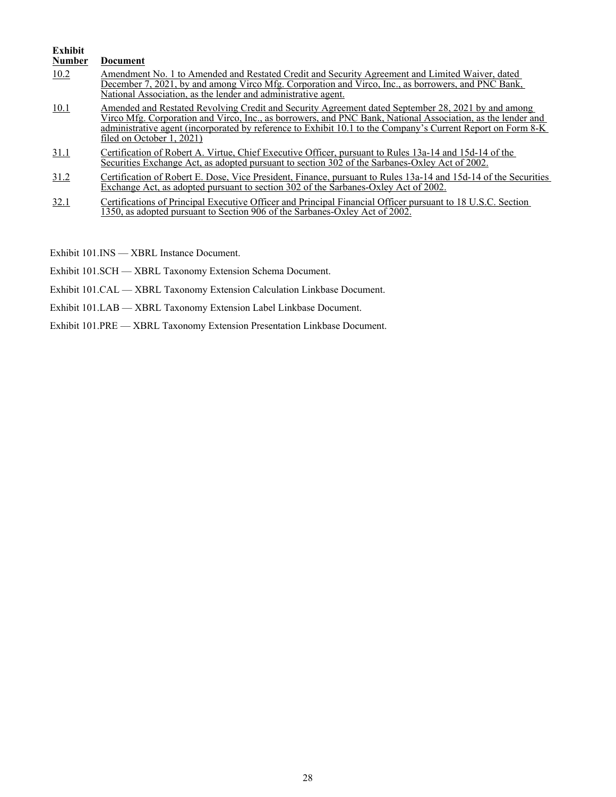#### **Exhibit Document** 10.2 [Amendment No. 1 to Amended and Restated Credit and Security Agreement and Limited Waiver, dated](#page-30-0)  [December 7, 2021, by and among Virco Mfg. Corporation and Virco, Inc., as borrowers, and PNC Bank,](#page-30-0)  [National Association, as the lender and administrative agent.](#page-30-0) 10.1 Amended and Restated Revolving Credit and Security Agreement dated September 28, 2021 by and among [Virco Mfg. Corporation and Virco, Inc., as borrowers, and PNC Bank, National Association, as the lender and](https://www.sec.gov/Archives/edgar/data/751365/000162828021019403/exhibit101-amendedandresta.htm)  [administrative agent \(incorporated by reference to Exhibit 10.1 to the Company's Current Report on Form 8-K](https://www.sec.gov/Archives/edgar/data/751365/000162828021019403/exhibit101-amendedandresta.htm)  [filed on October 1, 2021\)](https://www.sec.gov/Archives/edgar/data/751365/000162828021019403/exhibit101-amendedandresta.htm) 31.1 Certification of Robert A. Virtue, Chief Executive Officer, pursuant to Rules 13a-14 and 15d-14 of the Securities Exchange Act, as adopted pursuant to section 302 of the Sarbanes-Oxley Act of 2002. 31.2 Certification of Robert E. Dose, Vice President, Finance, pursuant to Rules 13a-14 and 15d-14 of the Securities Exchange Act, as adopted pursuant to section 302 of the Sarbanes-Oxley Act of 2002. 32.1 Certifications of Principal Executive Officer and Principal Financial Officer pursuant to 18 U.S.C. Section 1350, as adopted pursuant to Section 906 of the Sarbanes-Oxley Act of 2002.

Exhibit 101.INS — XBRL Instance Document.

Exhibit 101.SCH — XBRL Taxonomy Extension Schema Document.

Exhibit 101.CAL — XBRL Taxonomy Extension Calculation Linkbase Document.

Exhibit 101.LAB — XBRL Taxonomy Extension Label Linkbase Document.

Exhibit 101.PRE — XBRL Taxonomy Extension Presentation Linkbase Document.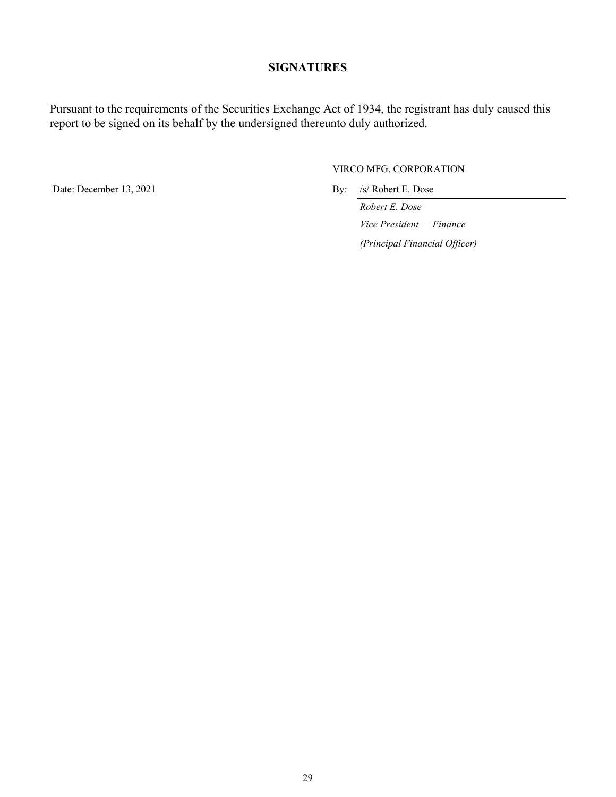## **SIGNATURES**

Pursuant to the requirements of the Securities Exchange Act of 1934, the registrant has duly caused this report to be signed on its behalf by the undersigned thereunto duly authorized.

Date: December 13, 2021 By: /s/ Robert E. Dose

VIRCO MFG. CORPORATION

*Robert E. Dose Vice President — Finance (Principal Financial Officer)*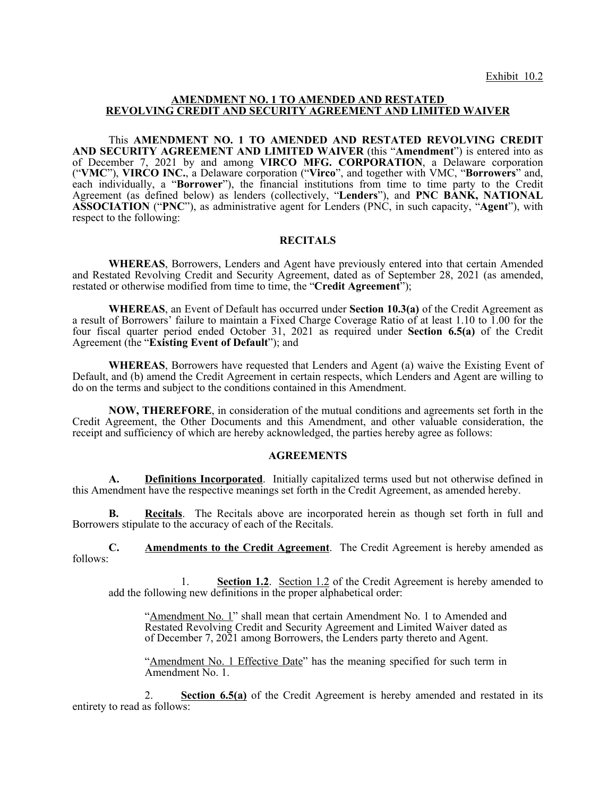#### <span id="page-30-0"></span>**AMENDMENT NO. 1 TO AMENDED AND RESTATED REVOLVING CREDIT AND SECURITY AGREEMENT AND LIMITED WAIVER**

This **AMENDMENT NO. 1 TO AMENDED AND RESTATED REVOLVING CREDIT AND SECURITY AGREEMENT AND LIMITED WAIVER** (this "**Amendment**") is entered into as of December 7, 2021 by and among **VIRCO MFG. CORPORATION**, a Delaware corporation ("**VMC**"), **VIRCO INC.**, a Delaware corporation ("**Virco**", and together with VMC, "**Borrowers**" and, each individually, a "Borrower"), the financial institutions from time to time party to the Credit Agreement (as defined below) as lenders (collectively, "**Lenders**"), and **PNC BANK, NATIONAL ASSOCIATION** ("**PNC**"), as administrative agent for Lenders (PNC, in such capacity, "**Agent**"), with respect to the following:

#### **RECITALS**

**WHEREAS**, Borrowers, Lenders and Agent have previously entered into that certain Amended and Restated Revolving Credit and Security Agreement, dated as of September 28, 2021 (as amended, restated or otherwise modified from time to time, the "**Credit Agreement**");

**WHEREAS**, an Event of Default has occurred under **Section 10.3(a)** of the Credit Agreement as a result of Borrowers' failure to maintain a Fixed Charge Coverage Ratio of at least 1.10 to 1.00 for the four fiscal quarter period ended October 31, 2021 as required under **Section 6.5(a)** of the Credit Agreement (the "**Existing Event of Default**"); and

**WHEREAS**, Borrowers have requested that Lenders and Agent (a) waive the Existing Event of Default, and (b) amend the Credit Agreement in certain respects, which Lenders and Agent are willing to do on the terms and subject to the conditions contained in this Amendment.

**NOW, THEREFORE**, in consideration of the mutual conditions and agreements set forth in the Credit Agreement, the Other Documents and this Amendment, and other valuable consideration, the receipt and sufficiency of which are hereby acknowledged, the parties hereby agree as follows:

#### **AGREEMENTS**

**A. Definitions Incorporated**. Initially capitalized terms used but not otherwise defined in this Amendment have the respective meanings set forth in the Credit Agreement, as amended hereby.

**B. Recitals**. The Recitals above are incorporated herein as though set forth in full and Borrowers stipulate to the accuracy of each of the Recitals.

**C. Amendments to the Credit Agreement**. The Credit Agreement is hereby amended as follows:

1. **Section 1.2**. Section 1.2 of the Credit Agreement is hereby amended to add the following new definitions in the proper alphabetical order:

"Amendment No. 1" shall mean that certain Amendment No. 1 to Amended and Restated Revolving Credit and Security Agreement and Limited Waiver dated as of December 7, 2021 among Borrowers, the Lenders party thereto and Agent.

"Amendment No. 1 Effective Date" has the meaning specified for such term in Amendment No. 1.

2. **Section 6.5(a)** of the Credit Agreement is hereby amended and restated in its entirety to read as follows: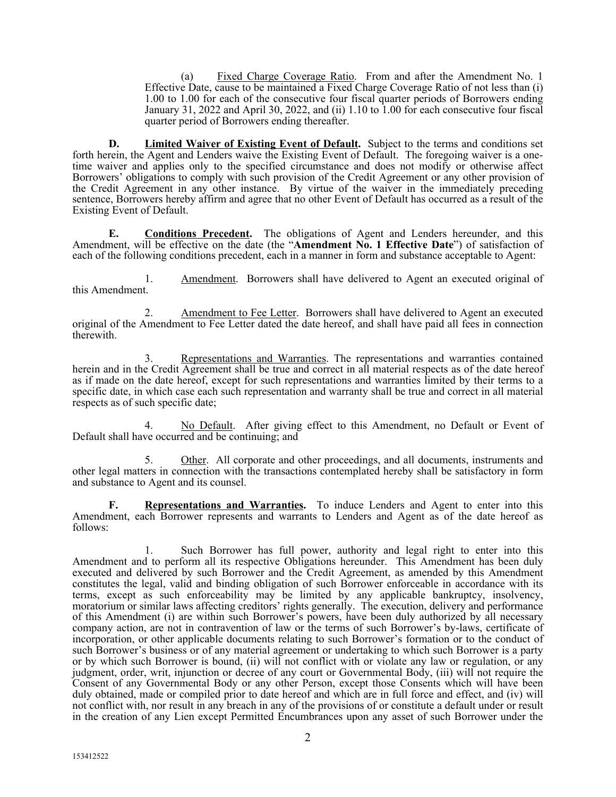(a) Fixed Charge Coverage Ratio. From and after the Amendment No. 1 Effective Date, cause to be maintained a Fixed Charge Coverage Ratio of not less than (i) 1.00 to 1.00 for each of the consecutive four fiscal quarter periods of Borrowers ending January 31, 2022 and April 30, 2022, and (ii) 1.10 to 1.00 for each consecutive four fiscal quarter period of Borrowers ending thereafter.

**D. Limited Waiver of Existing Event of Default.** Subject to the terms and conditions set forth herein, the Agent and Lenders waive the Existing Event of Default. The foregoing waiver is a onetime waiver and applies only to the specified circumstance and does not modify or otherwise affect Borrowers' obligations to comply with such provision of the Credit Agreement or any other provision of the Credit Agreement in any other instance. By virtue of the waiver in the immediately preceding sentence, Borrowers hereby affirm and agree that no other Event of Default has occurred as a result of the Existing Event of Default.

**E. Conditions Precedent.** The obligations of Agent and Lenders hereunder, and this Amendment, will be effective on the date (the "**Amendment No. 1 Effective Date**") of satisfaction of each of the following conditions precedent, each in a manner in form and substance acceptable to Agent:

1. Amendment. Borrowers shall have delivered to Agent an executed original of this Amendment.

2. Amendment to Fee Letter. Borrowers shall have delivered to Agent an executed original of the Amendment to Fee Letter dated the date hereof, and shall have paid all fees in connection therewith.

3. Representations and Warranties. The representations and warranties contained herein and in the Credit Agreement shall be true and correct in all material respects as of the date hereof as if made on the date hereof, except for such representations and warranties limited by their terms to a specific date, in which case each such representation and warranty shall be true and correct in all material respects as of such specific date;

4. No Default. After giving effect to this Amendment, no Default or Event of Default shall have occurred and be continuing; and

5. Other. All corporate and other proceedings, and all documents, instruments and other legal matters in connection with the transactions contemplated hereby shall be satisfactory in form and substance to Agent and its counsel.

**F. Representations and Warranties.** To induce Lenders and Agent to enter into this Amendment, each Borrower represents and warrants to Lenders and Agent as of the date hereof as follows:

1. Such Borrower has full power, authority and legal right to enter into this Amendment and to perform all its respective Obligations hereunder. This Amendment has been duly executed and delivered by such Borrower and the Credit Agreement, as amended by this Amendment constitutes the legal, valid and binding obligation of such Borrower enforceable in accordance with its terms, except as such enforceability may be limited by any applicable bankruptcy, insolvency, moratorium or similar laws affecting creditors' rights generally. The execution, delivery and performance of this Amendment (i) are within such Borrower's powers, have been duly authorized by all necessary company action, are not in contravention of law or the terms of such Borrower's by-laws, certificate of incorporation, or other applicable documents relating to such Borrower's formation or to the conduct of such Borrower's business or of any material agreement or undertaking to which such Borrower is a party or by which such Borrower is bound, (ii) will not conflict with or violate any law or regulation, or any judgment, order, writ, injunction or decree of any court or Governmental Body, (iii) will not require the Consent of any Governmental Body or any other Person, except those Consents which will have been duly obtained, made or compiled prior to date hereof and which are in full force and effect, and (iv) will not conflict with, nor result in any breach in any of the provisions of or constitute a default under or result in the creation of any Lien except Permitted Encumbrances upon any asset of such Borrower under the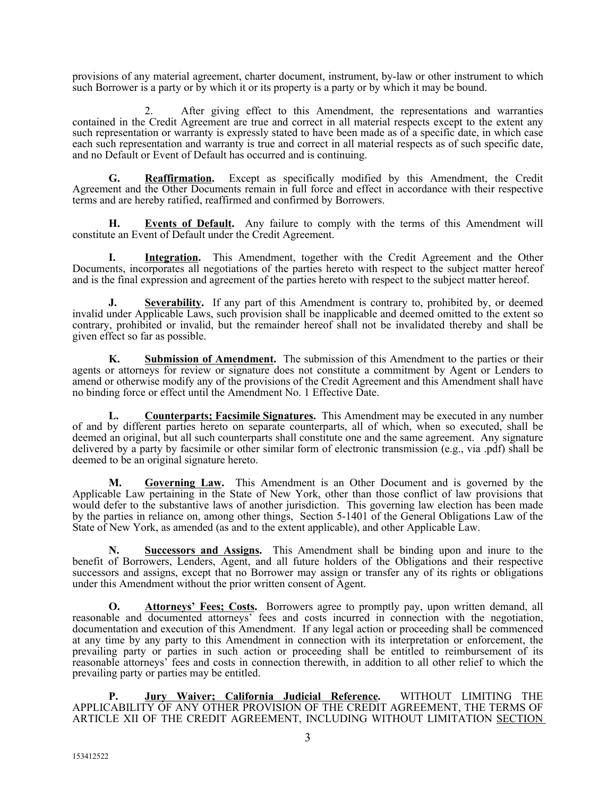provisions of any material agreement, charter document, instrument, by-law or other instrument to which such Borrower is a party or by which it or its property is a party or by which it may be bound.

2. After giving effect to this Amendment, the representations and warranties contained in the Credit Agreement are true and correct in all material respects except to the extent any such representation or warranty is expressly stated to have been made as of a specific date, in which case each such representation and warranty is true and correct in all material respects as of such specific date, and no Default or Event of Default has occurred and is continuing.

**G. Reaffirmation.** Except as specifically modified by this Amendment, the Credit Agreement and the Other Documents remain in full force and effect in accordance with their respective terms and are hereby ratified, reaffirmed and confirmed by Borrowers.

**H. Events of Default.** Any failure to comply with the terms of this Amendment will constitute an Event of Default under the Credit Agreement.

**I. Integration.** This Amendment, together with the Credit Agreement and the Other Documents, incorporates all negotiations of the parties hereto with respect to the subject matter hereof and is the final expression and agreement of the parties hereto with respect to the subject matter hereof.

**J. Severability.** If any part of this Amendment is contrary to, prohibited by, or deemed invalid under Applicable Laws, such provision shall be inapplicable and deemed omitted to the extent so contrary, prohibited or invalid, but the remainder hereof shall not be invalidated thereby and shall be given effect so far as possible.

**K. Submission of Amendment.** The submission of this Amendment to the parties or their agents or attorneys for review or signature does not constitute a commitment by Agent or Lenders to amend or otherwise modify any of the provisions of the Credit Agreement and this Amendment shall have no binding force or effect until the Amendment No. 1 Effective Date.

**L. Counterparts; Facsimile Signatures.** This Amendment may be executed in any number of and by different parties hereto on separate counterparts, all of which, when so executed, shall be deemed an original, but all such counterparts shall constitute one and the same agreement. Any signature delivered by a party by facsimile or other similar form of electronic transmission (e.g., via .pdf) shall be deemed to be an original signature hereto.

**M. Governing Law.** This Amendment is an Other Document and is governed by the Applicable Law pertaining in the State of New York, other than those conflict of law provisions that would defer to the substantive laws of another jurisdiction. This governing law election has been made by the parties in reliance on, among other things, Section 5-1401 of the General Obligations Law of the State of New York, as amended (as and to the extent applicable), and other Applicable Law.

**N. Successors and Assigns.** This Amendment shall be binding upon and inure to the benefit of Borrowers, Lenders, Agent, and all future holders of the Obligations and their respective successors and assigns, except that no Borrower may assign or transfer any of its rights or obligations under this Amendment without the prior written consent of Agent.

**O. Attorneys' Fees: Costs.** Borrowers agree to promptly pay, upon written demand, all reasonable and documented attorneys' fees and costs incurred in connection with the negotiation, documentation and execution of this Amendment. If any legal action or proceeding shall be commenced at any time by any party to this Amendment in connection with its interpretation or enforcement, the prevailing party or parties in such action or proceeding shall be entitled to reimbursement of its reasonable attorneys' fees and costs in connection therewith, in addition to all other relief to which the prevailing party or parties may be entitled.

**P. Jury Waiver; California Judicial Reference.** WITHOUT LIMITING THE APPLICABILITY OF ANY OTHER PROVISION OF THE CREDIT AGREEMENT, THE TERMS OF ARTICLE XII OF THE CREDIT AGREEMENT, INCLUDING WITHOUT LIMITATION SECTION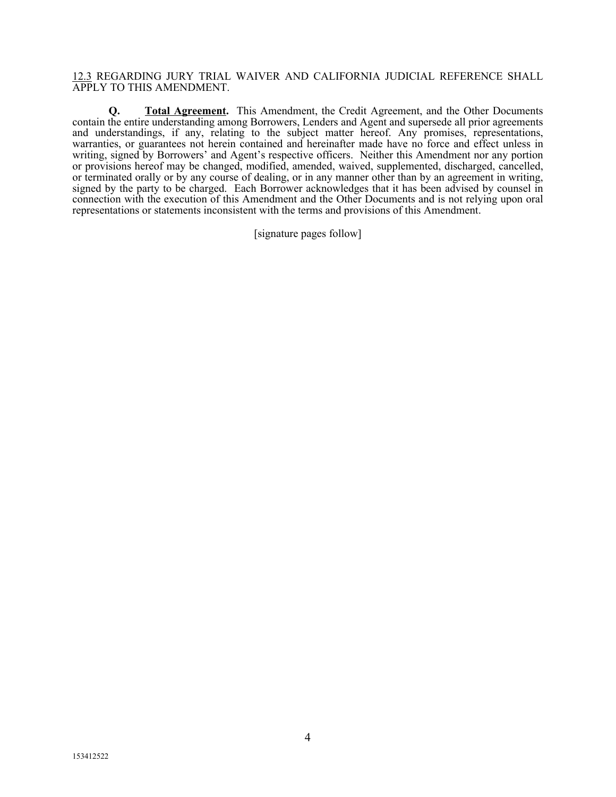#### 12.3 REGARDING JURY TRIAL WAIVER AND CALIFORNIA JUDICIAL REFERENCE SHALL APPLY TO THIS AMENDMENT.

**Q. Total Agreement.** This Amendment, the Credit Agreement, and the Other Documents contain the entire understanding among Borrowers, Lenders and Agent and supersede all prior agreements and understandings, if any, relating to the subject matter hereof. Any promises, representations, warranties, or guarantees not herein contained and hereinafter made have no force and effect unless in writing, signed by Borrowers' and Agent's respective officers. Neither this Amendment nor any portion or provisions hereof may be changed, modified, amended, waived, supplemented, discharged, cancelled, or terminated orally or by any course of dealing, or in any manner other than by an agreement in writing, signed by the party to be charged. Each Borrower acknowledges that it has been advised by counsel in connection with the execution of this Amendment and the Other Documents and is not relying upon oral representations or statements inconsistent with the terms and provisions of this Amendment.

[signature pages follow]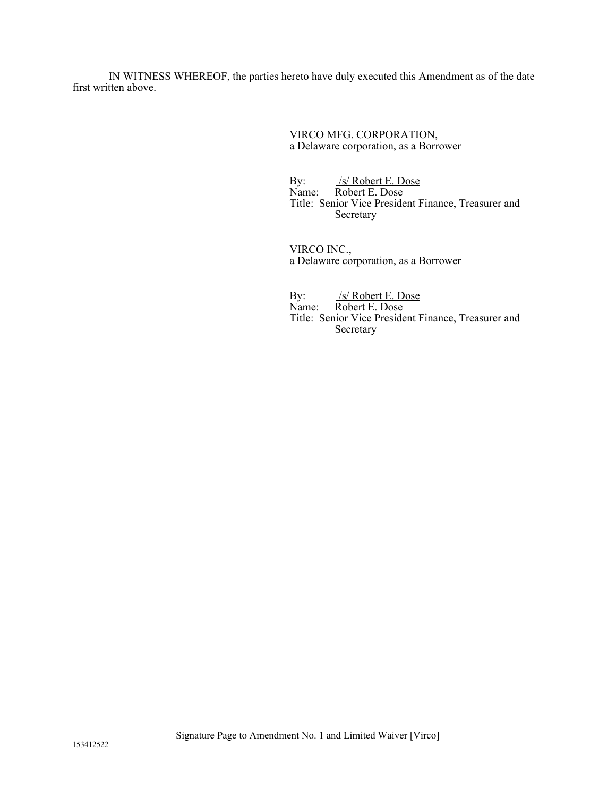IN WITNESS WHEREOF, the parties hereto have duly executed this Amendment as of the date first written above.

> VIRCO MFG. CORPORATION, a Delaware corporation, as a Borrower

By: /s/ Robert E. Dose Name: Robert E. Dose Title: Senior Vice President Finance, Treasurer and Secretary

VIRCO INC., a Delaware corporation, as a Borrower

By: /s/ Robert E. Dose Name: Robert E. Dose Title: Senior Vice President Finance, Treasurer and Secretary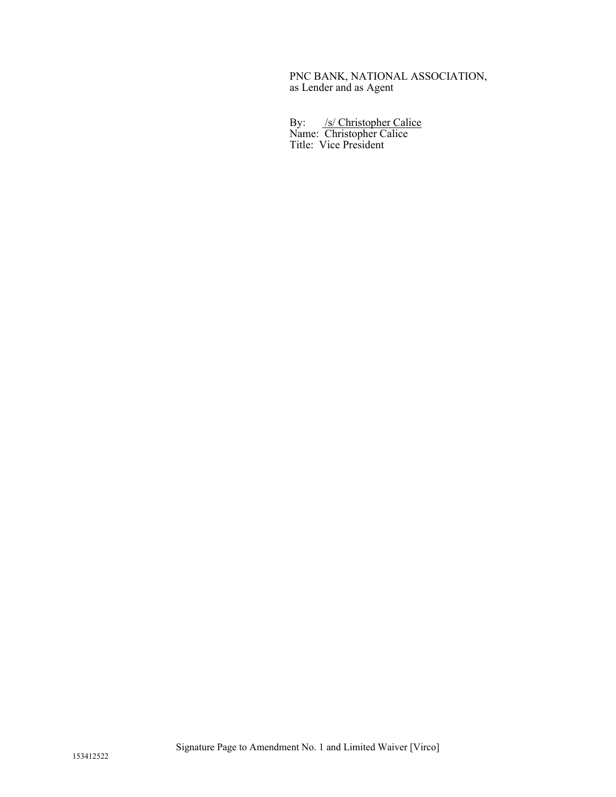#### PNC BANK, NATIONAL ASSOCIATION, as Lender and as Agent

By: /s/ Christopher Calice Name: Christopher Calice Title: Vice President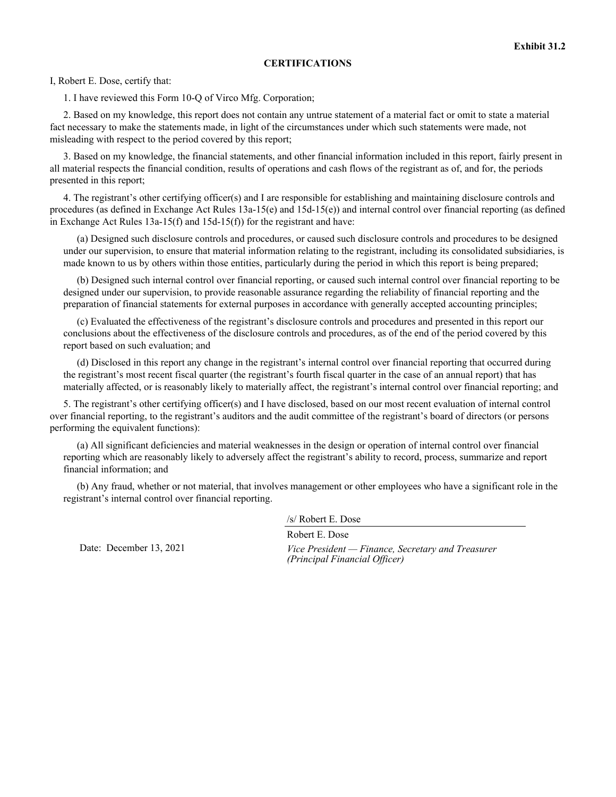#### **CERTIFICATIONS**

I, Robert E. Dose, certify that:

1. I have reviewed this Form 10-Q of Virco Mfg. Corporation;

2. Based on my knowledge, this report does not contain any untrue statement of a material fact or omit to state a material fact necessary to make the statements made, in light of the circumstances under which such statements were made, not misleading with respect to the period covered by this report;

3. Based on my knowledge, the financial statements, and other financial information included in this report, fairly present in all material respects the financial condition, results of operations and cash flows of the registrant as of, and for, the periods presented in this report;

4. The registrant's other certifying officer(s) and I are responsible for establishing and maintaining disclosure controls and procedures (as defined in Exchange Act Rules 13a-15(e) and 15d-15(e)) and internal control over financial reporting (as defined in Exchange Act Rules 13a-15(f) and 15d-15(f)) for the registrant and have:

(a) Designed such disclosure controls and procedures, or caused such disclosure controls and procedures to be designed under our supervision, to ensure that material information relating to the registrant, including its consolidated subsidiaries, is made known to us by others within those entities, particularly during the period in which this report is being prepared;

(b) Designed such internal control over financial reporting, or caused such internal control over financial reporting to be designed under our supervision, to provide reasonable assurance regarding the reliability of financial reporting and the preparation of financial statements for external purposes in accordance with generally accepted accounting principles;

(c) Evaluated the effectiveness of the registrant's disclosure controls and procedures and presented in this report our conclusions about the effectiveness of the disclosure controls and procedures, as of the end of the period covered by this report based on such evaluation; and

(d) Disclosed in this report any change in the registrant's internal control over financial reporting that occurred during the registrant's most recent fiscal quarter (the registrant's fourth fiscal quarter in the case of an annual report) that has materially affected, or is reasonably likely to materially affect, the registrant's internal control over financial reporting; and

5. The registrant's other certifying officer(s) and I have disclosed, based on our most recent evaluation of internal control over financial reporting, to the registrant's auditors and the audit committee of the registrant's board of directors (or persons performing the equivalent functions):

(a) All significant deficiencies and material weaknesses in the design or operation of internal control over financial reporting which are reasonably likely to adversely affect the registrant's ability to record, process, summarize and report financial information; and

(b) Any fraud, whether or not material, that involves management or other employees who have a significant role in the registrant's internal control over financial reporting.

/s/ Robert E. Dose

Robert E. Dose

Date: December 13, 2021 *Vice President — Finance, Secretary and Treasurer (Principal Financial Officer)*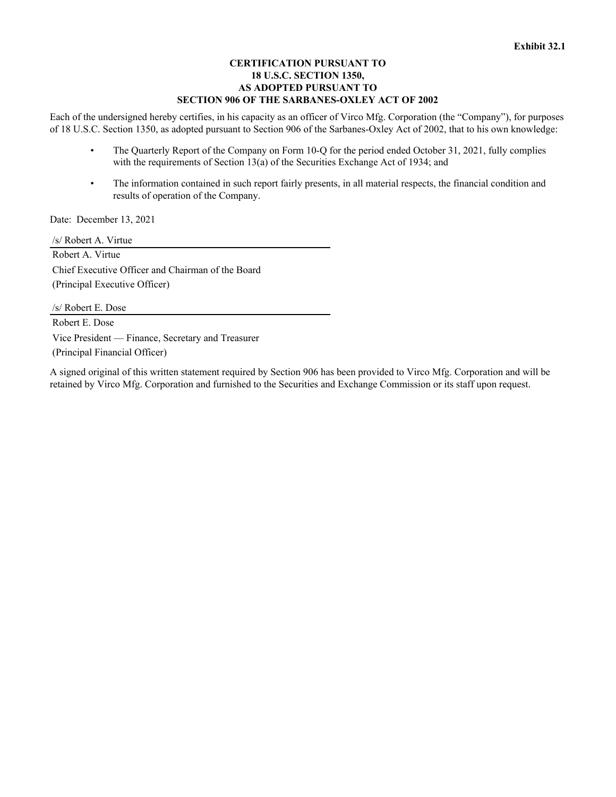#### **CERTIFICATION PURSUANT TO 18 U.S.C. SECTION 1350, AS ADOPTED PURSUANT TO SECTION 906 OF THE SARBANES-OXLEY ACT OF 2002**

Each of the undersigned hereby certifies, in his capacity as an officer of Virco Mfg. Corporation (the "Company"), for purposes of 18 U.S.C. Section 1350, as adopted pursuant to Section 906 of the Sarbanes-Oxley Act of 2002, that to his own knowledge:

- The Quarterly Report of the Company on Form 10-Q for the period ended October 31, 2021, fully complies with the requirements of Section 13(a) of the Securities Exchange Act of 1934; and
- The information contained in such report fairly presents, in all material respects, the financial condition and results of operation of the Company.

Date: December 13, 2021

/s/ Robert A. Virtue Robert A. Virtue Chief Executive Officer and Chairman of the Board (Principal Executive Officer)

/s/ Robert E. Dose Robert E. Dose Vice President — Finance, Secretary and Treasurer (Principal Financial Officer)

A signed original of this written statement required by Section 906 has been provided to Virco Mfg. Corporation and will be retained by Virco Mfg. Corporation and furnished to the Securities and Exchange Commission or its staff upon request.